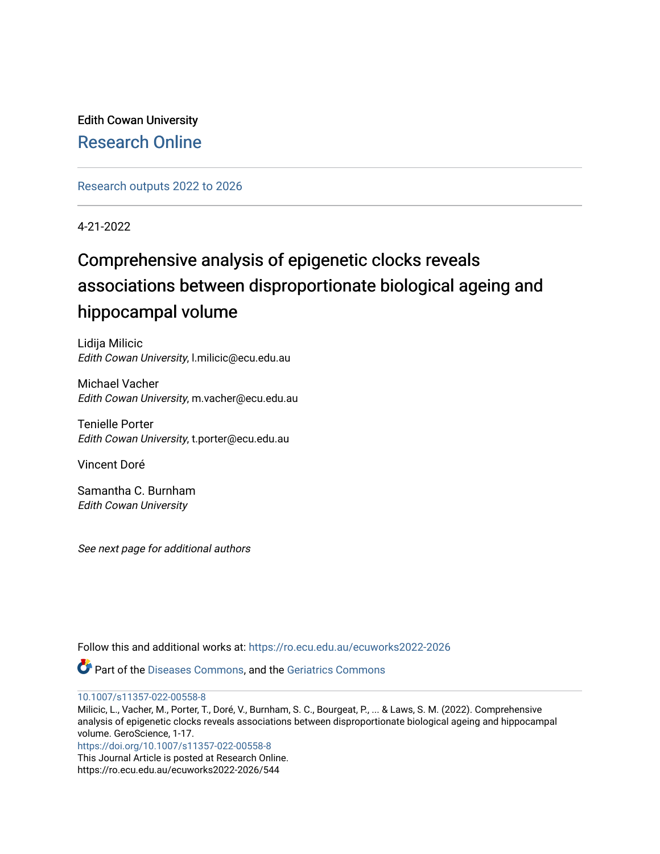Edith Cowan University [Research Online](https://ro.ecu.edu.au/) 

[Research outputs 2022 to 2026](https://ro.ecu.edu.au/ecuworks2022-2026) 

4-21-2022

# Comprehensive analysis of epigenetic clocks reveals associations between disproportionate biological ageing and hippocampal volume

Lidija Milicic Edith Cowan University, l.milicic@ecu.edu.au

Michael Vacher Edith Cowan University, m.vacher@ecu.edu.au

Tenielle Porter Edith Cowan University, t.porter@ecu.edu.au

Vincent Doré

Samantha C. Burnham Edith Cowan University

See next page for additional authors

Follow this and additional works at: [https://ro.ecu.edu.au/ecuworks2022-2026](https://ro.ecu.edu.au/ecuworks2022-2026?utm_source=ro.ecu.edu.au%2Fecuworks2022-2026%2F544&utm_medium=PDF&utm_campaign=PDFCoverPages)

Part of the [Diseases Commons](https://network.bepress.com/hgg/discipline/813?utm_source=ro.ecu.edu.au%2Fecuworks2022-2026%2F544&utm_medium=PDF&utm_campaign=PDFCoverPages), and the [Geriatrics Commons](https://network.bepress.com/hgg/discipline/688?utm_source=ro.ecu.edu.au%2Fecuworks2022-2026%2F544&utm_medium=PDF&utm_campaign=PDFCoverPages) 

[10.1007/s11357-022-00558-8](http://dx.doi.org/10.1007/s11357-022-00558-8)

Milicic, L., Vacher, M., Porter, T., Doré, V., Burnham, S. C., Bourgeat, P., ... & Laws, S. M. (2022). Comprehensive analysis of epigenetic clocks reveals associations between disproportionate biological ageing and hippocampal volume. GeroScience, 1-17. <https://doi.org/10.1007/s11357-022-00558-8>

This Journal Article is posted at Research Online. https://ro.ecu.edu.au/ecuworks2022-2026/544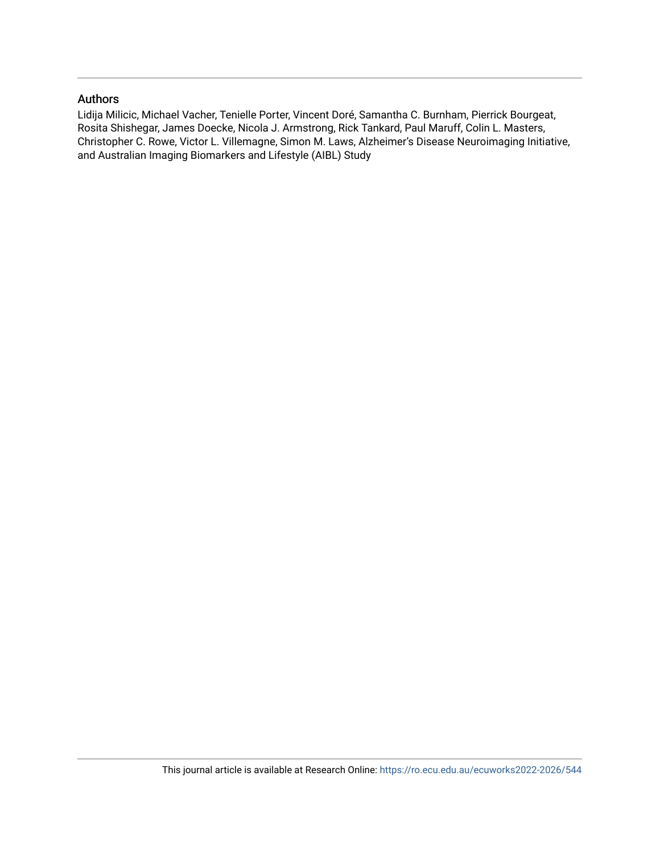# Authors

Lidija Milicic, Michael Vacher, Tenielle Porter, Vincent Doré, Samantha C. Burnham, Pierrick Bourgeat, Rosita Shishegar, James Doecke, Nicola J. Armstrong, Rick Tankard, Paul Maruff, Colin L. Masters, Christopher C. Rowe, Victor L. Villemagne, Simon M. Laws, Alzheimer's Disease Neuroimaging Initiative, and Australian Imaging Biomarkers and Lifestyle (AIBL) Study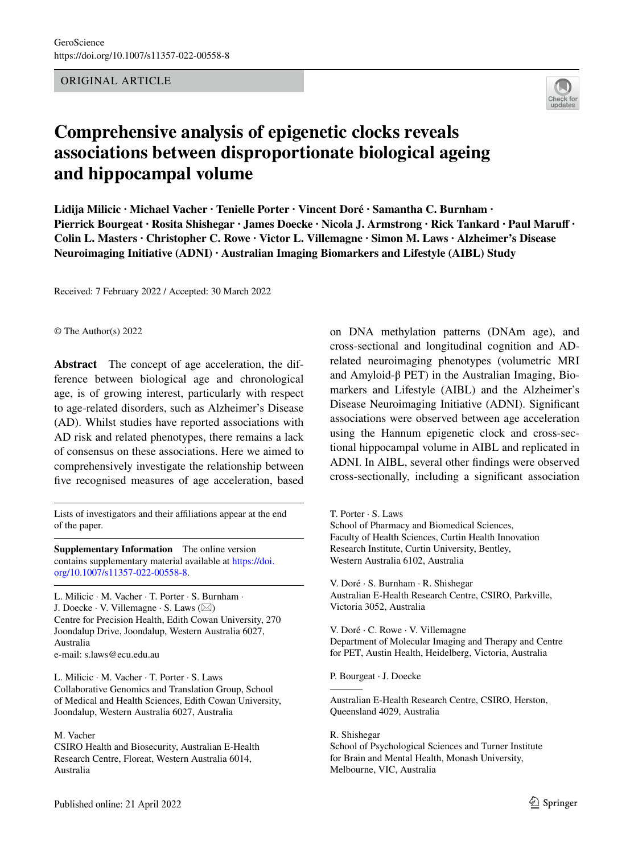# ORIGINAL ARTICLE



# **Comprehensive analysis of epigenetic clocks reveals associations between disproportionate biological ageing and hippocampal volume**

**Lidija Milicic · Michael Vacher · Tenielle Porter · Vincent Doré · Samantha C. Burnham · Pierrick Bourgeat · Rosita Shishegar · James Doecke · Nicola J. Armstrong · Rick Tankard · Paul Maruf · Colin L. Masters · Christopher C. Rowe · Victor L. Villemagne · Simon M. Laws · Alzheimer's Disease Neuroimaging Initiative (ADNI) · Australian Imaging Biomarkers and Lifestyle (AIBL) Study**

Received: 7 February 2022 / Accepted: 30 March 2022

#### © The Author(s) 2022

**Abstract** The concept of age acceleration, the difference between biological age and chronological age, is of growing interest, particularly with respect to age-related disorders, such as Alzheimer's Disease (AD). Whilst studies have reported associations with AD risk and related phenotypes, there remains a lack of consensus on these associations. Here we aimed to comprehensively investigate the relationship between five recognised measures of age acceleration, based

Lists of investigators and their afliations appear at the end of the paper.

**Supplementary Information** The online version contains supplementary material available at [https://doi.](https://doi.org/10.1007/s11357-022-00558-8) [org/10.1007/s11357-022-00558-8.](https://doi.org/10.1007/s11357-022-00558-8)

L. Milicic · M. Vacher · T. Porter · S. Burnham · J. Doecke  $\cdot$  V. Villemagne  $\cdot$  S. Laws ( $\boxtimes$ ) Centre for Precision Health, Edith Cowan University, 270 Joondalup Drive, Joondalup, Western Australia 6027, Australia e-mail: s.laws@ecu.edu.au

L. Milicic · M. Vacher · T. Porter · S. Laws Collaborative Genomics and Translation Group, School of Medical and Health Sciences, Edith Cowan University, Joondalup, Western Australia 6027, Australia

M. Vacher CSIRO Health and Biosecurity, Australian E-Health Research Centre, Floreat, Western Australia 6014, Australia

on DNA methylation patterns (DNAm age), and cross-sectional and longitudinal cognition and ADrelated neuroimaging phenotypes (volumetric MRI and Amyloid-β PET) in the Australian Imaging, Biomarkers and Lifestyle (AIBL) and the Alzheimer's Disease Neuroimaging Initiative (ADNI). Signifcant associations were observed between age acceleration using the Hannum epigenetic clock and cross-sectional hippocampal volume in AIBL and replicated in ADNI. In AIBL, several other fndings were observed cross-sectionally, including a signifcant association

T. Porter · S. Laws

School of Pharmacy and Biomedical Sciences, Faculty of Health Sciences, Curtin Health Innovation Research Institute, Curtin University, Bentley, Western Australia 6102, Australia

V. Doré · S. Burnham · R. Shishegar Australian E-Health Research Centre, CSIRO, Parkville, Victoria 3052, Australia

V. Doré · C. Rowe · V. Villemagne Department of Molecular Imaging and Therapy and Centre for PET, Austin Health, Heidelberg, Victoria, Australia

P. Bourgeat · J. Doecke

Australian E-Health Research Centre, CSIRO, Herston, Queensland 4029, Australia

R. Shishegar School of Psychological Sciences and Turner Institute for Brain and Mental Health, Monash University, Melbourne, VIC, Australia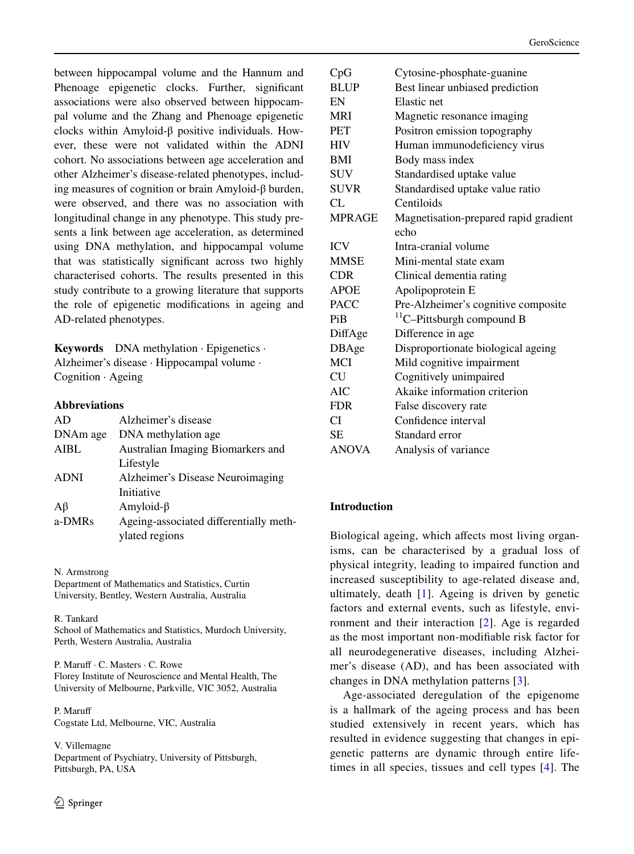between hippocampal volume and the Hannum and Phenoage epigenetic clocks. Further, significant associations were also observed between hippocampal volume and the Zhang and Phenoage epigenetic clocks within Amyloid-β positive individuals. However, these were not validated within the ADNI cohort. No associations between age acceleration and other Alzheimer's disease-related phenotypes, including measures of cognition or brain Amyloid-β burden, were observed, and there was no association with longitudinal change in any phenotype. This study presents a link between age acceleration, as determined using DNA methylation, and hippocampal volume that was statistically signifcant across two highly characterised cohorts. The results presented in this study contribute to a growing literature that supports the role of epigenetic modifcations in ageing and AD-related phenotypes.

**Keywords** DNA methylation · Epigenetics · Alzheimer's disease · Hippocampal volume · Cognition · Ageing

# **Abbreviations**

| AD          | Alzheimer's disease                    |
|-------------|----------------------------------------|
| DNAm age    | DNA methylation age.                   |
| <b>AIBL</b> | Australian Imaging Biomarkers and      |
|             | Lifestyle                              |
| <b>ADNI</b> | Alzheimer's Disease Neuroimaging       |
|             | Initiative                             |
| $A\beta$    | Amyloid- $\beta$                       |
| a-DMRs      | Ageing-associated differentially meth- |
|             | ylated regions                         |
|             |                                        |

N. Armstrong

Department of Mathematics and Statistics, Curtin University, Bentley, Western Australia, Australia

#### R. Tankard

School of Mathematics and Statistics, Murdoch University, Perth, Western Australia, Australia

P. Maruff · C. Masters · C. Rowe Florey Institute of Neuroscience and Mental Health, The University of Melbourne, Parkville, VIC 3052, Australia

P. Maruf Cogstate Ltd, Melbourne, VIC, Australia

V. Villemagne Department of Psychiatry, University of Pittsburgh, Pittsburgh, PA, USA

| CpG           | Cytosine-phosphate-guanine            |
|---------------|---------------------------------------|
| <b>BLUP</b>   | Best linear unbiased prediction       |
| EN            | Elastic net                           |
| <b>MRI</b>    | Magnetic resonance imaging            |
| <b>PET</b>    | Positron emission topography          |
| <b>HIV</b>    | Human immunodeficiency virus          |
| <b>BMI</b>    | Body mass index                       |
| <b>SUV</b>    | Standardised uptake value             |
| <b>SUVR</b>   | Standardised uptake value ratio       |
| CL.           | Centiloids                            |
| <b>MPRAGE</b> | Magnetisation-prepared rapid gradient |
|               | echo                                  |
| <b>ICV</b>    | Intra-cranial volume                  |
| <b>MMSE</b>   | Mini-mental state exam                |
| <b>CDR</b>    | Clinical dementia rating              |
| <b>APOE</b>   | Apolipoprotein E                      |
| <b>PACC</b>   | Pre-Alzheimer's cognitive composite   |
| Pi B          | $^{11}$ C-Pittsburgh compound B       |
| DiffAge       | Difference in age                     |
| DBAge         | Disproportionate biological ageing    |
| <b>MCI</b>    | Mild cognitive impairment             |
| <b>CU</b>     | Cognitively unimpaired                |
| <b>AIC</b>    | Akaike information criterion          |
| <b>FDR</b>    | False discovery rate                  |
| СI            | Confidence interval                   |
| <b>SE</b>     | Standard error                        |
| <b>ANOVA</b>  | Analysis of variance                  |

# **Introduction**

Biological ageing, which affects most living organisms, can be characterised by a gradual loss of physical integrity, leading to impaired function and increased susceptibility to age-related disease and, ultimately, death [[1\]](#page-16-0). Ageing is driven by genetic factors and external events, such as lifestyle, environment and their interaction [\[2](#page-16-1)]. Age is regarded as the most important non-modifable risk factor for all neurodegenerative diseases, including Alzheimer's disease (AD), and has been associated with changes in DNA methylation patterns [\[3](#page-16-2)].

Age-associated deregulation of the epigenome is a hallmark of the ageing process and has been studied extensively in recent years, which has resulted in evidence suggesting that changes in epigenetic patterns are dynamic through entire lifetimes in all species, tissues and cell types [[4\]](#page-16-3). The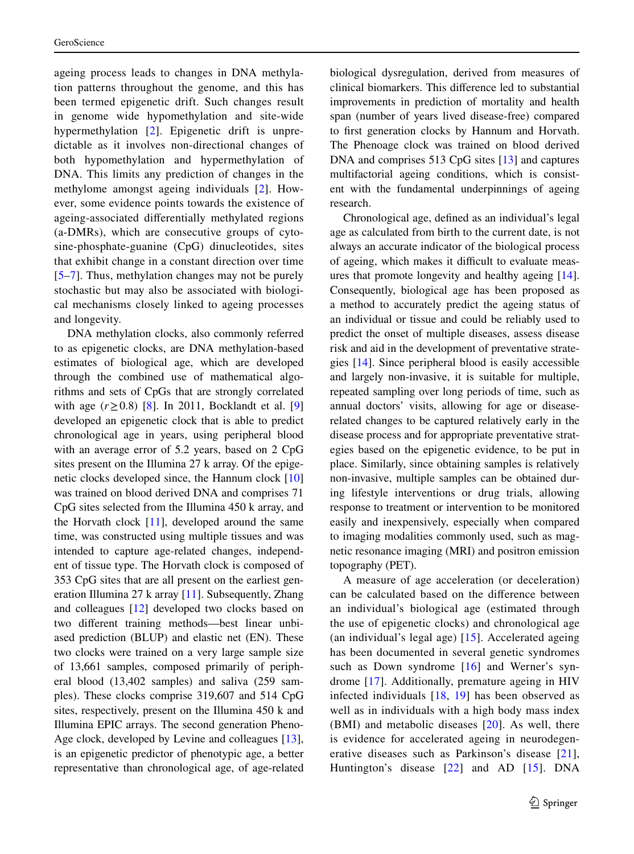ageing process leads to changes in DNA methylation patterns throughout the genome, and this has been termed epigenetic drift. Such changes result in genome wide hypomethylation and site-wide hypermethylation [[2](#page-16-1)]. Epigenetic drift is unpredictable as it involves non-directional changes of both hypomethylation and hypermethylation of DNA. This limits any prediction of changes in the methylome amongst ageing individuals [\[2\]](#page-16-1). However, some evidence points towards the existence of ageing-associated diferentially methylated regions (a-DMRs), which are consecutive groups of cytosine-phosphate-guanine (CpG) dinucleotides, sites that exhibit change in a constant direction over time [\[5](#page-16-4)–[7\]](#page-16-5). Thus, methylation changes may not be purely stochastic but may also be associated with biological mechanisms closely linked to ageing processes and longevity.

DNA methylation clocks, also commonly referred to as epigenetic clocks, are DNA methylation-based estimates of biological age, which are developed through the combined use of mathematical algorithms and sets of CpGs that are strongly correlated with age  $(r≥0.8)$  [\[8](#page-16-6)]. In 2011, Bocklandt et al. [[9\]](#page-16-7) developed an epigenetic clock that is able to predict chronological age in years, using peripheral blood with an average error of 5.2 years, based on 2 CpG sites present on the Illumina 27 k array. Of the epigenetic clocks developed since, the Hannum clock [[10\]](#page-16-8) was trained on blood derived DNA and comprises 71 CpG sites selected from the Illumina 450 k array, and the Horvath clock  $[11]$  $[11]$ , developed around the same time, was constructed using multiple tissues and was intended to capture age-related changes, independent of tissue type. The Horvath clock is composed of 353 CpG sites that are all present on the earliest generation Illumina 27 k array [\[11](#page-16-9)]. Subsequently, Zhang and colleagues [[12\]](#page-16-10) developed two clocks based on two diferent training methods—best linear unbiased prediction (BLUP) and elastic net (EN). These two clocks were trained on a very large sample size of 13,661 samples, composed primarily of peripheral blood (13,402 samples) and saliva (259 samples). These clocks comprise 319,607 and 514 CpG sites, respectively, present on the Illumina 450 k and Illumina EPIC arrays. The second generation Pheno-Age clock, developed by Levine and colleagues [\[13](#page-16-11)], is an epigenetic predictor of phenotypic age, a better representative than chronological age, of age-related

biological dysregulation, derived from measures of clinical biomarkers. This diference led to substantial improvements in prediction of mortality and health span (number of years lived disease-free) compared to frst generation clocks by Hannum and Horvath. The Phenoage clock was trained on blood derived DNA and comprises 513 CpG sites [[13\]](#page-16-11) and captures multifactorial ageing conditions, which is consistent with the fundamental underpinnings of ageing research.

Chronological age, defned as an individual's legal age as calculated from birth to the current date, is not always an accurate indicator of the biological process of ageing, which makes it difficult to evaluate measures that promote longevity and healthy ageing [[14\]](#page-16-12). Consequently, biological age has been proposed as a method to accurately predict the ageing status of an individual or tissue and could be reliably used to predict the onset of multiple diseases, assess disease risk and aid in the development of preventative strategies [[14\]](#page-16-12). Since peripheral blood is easily accessible and largely non-invasive, it is suitable for multiple, repeated sampling over long periods of time, such as annual doctors' visits, allowing for age or diseaserelated changes to be captured relatively early in the disease process and for appropriate preventative strategies based on the epigenetic evidence, to be put in place. Similarly, since obtaining samples is relatively non-invasive, multiple samples can be obtained during lifestyle interventions or drug trials, allowing response to treatment or intervention to be monitored easily and inexpensively, especially when compared to imaging modalities commonly used, such as magnetic resonance imaging (MRI) and positron emission topography (PET).

A measure of age acceleration (or deceleration) can be calculated based on the diference between an individual's biological age (estimated through the use of epigenetic clocks) and chronological age (an individual's legal age) [\[15](#page-16-13)]. Accelerated ageing has been documented in several genetic syndromes such as Down syndrome [[16\]](#page-16-14) and Werner's syndrome [[17](#page-16-15)]. Additionally, premature ageing in HIV infected individuals [\[18,](#page-16-16) [19](#page-16-17)] has been observed as well as in individuals with a high body mass index (BMI) and metabolic diseases [[20](#page-16-18)]. As well, there is evidence for accelerated ageing in neurodegenerative diseases such as Parkinson's disease [\[21](#page-16-19)], Huntington's disease [\[22\]](#page-16-20) and AD [[15](#page-16-13)]. DNA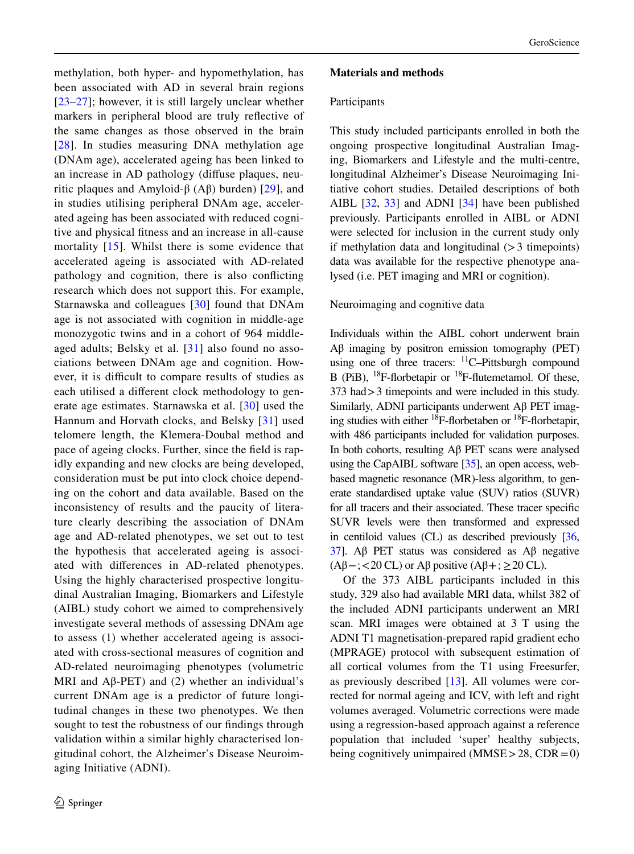methylation, both hyper- and hypomethylation, has been associated with AD in several brain regions [\[23–](#page-16-21)[27\]](#page-16-22); however, it is still largely unclear whether markers in peripheral blood are truly refective of the same changes as those observed in the brain [\[28\]](#page-16-23). In studies measuring DNA methylation age (DNAm age), accelerated ageing has been linked to an increase in AD pathology (difuse plaques, neu-ritic plaques and Amyloid-β (Aβ) burden) [[29](#page-17-0)], and in studies utilising peripheral DNAm age, accelerated ageing has been associated with reduced cognitive and physical ftness and an increase in all-cause mortality [[15\]](#page-16-13). Whilst there is some evidence that accelerated ageing is associated with AD-related pathology and cognition, there is also conficting research which does not support this. For example, Starnawska and colleagues [[30\]](#page-17-1) found that DNAm age is not associated with cognition in middle-age monozygotic twins and in a cohort of 964 middleaged adults; Belsky et al. [[31](#page-17-2)] also found no associations between DNAm age and cognition. However, it is difficult to compare results of studies as each utilised a diferent clock methodology to generate age estimates. Starnawska et al. [\[30\]](#page-17-1) used the Hannum and Horvath clocks, and Belsky [\[31\]](#page-17-2) used telomere length, the Klemera-Doubal method and pace of ageing clocks. Further, since the feld is rapidly expanding and new clocks are being developed, consideration must be put into clock choice depending on the cohort and data available. Based on the inconsistency of results and the paucity of literature clearly describing the association of DNAm age and AD-related phenotypes, we set out to test the hypothesis that accelerated ageing is associated with diferences in AD-related phenotypes. Using the highly characterised prospective longitudinal Australian Imaging, Biomarkers and Lifestyle (AIBL) study cohort we aimed to comprehensively investigate several methods of assessing DNAm age to assess (1) whether accelerated ageing is associated with cross-sectional measures of cognition and AD-related neuroimaging phenotypes (volumetric MRI and  $\text{A}\beta$ -PET) and (2) whether an individual's current DNAm age is a predictor of future longitudinal changes in these two phenotypes. We then sought to test the robustness of our fndings through validation within a similar highly characterised longitudinal cohort, the Alzheimer's Disease Neuroimaging Initiative (ADNI).

# **Materials and methods**

#### **Participants**

This study included participants enrolled in both the ongoing prospective longitudinal Australian Imaging, Biomarkers and Lifestyle and the multi-centre, longitudinal Alzheimer's Disease Neuroimaging Initiative cohort studies. Detailed descriptions of both AIBL [\[32](#page-17-3), [33\]](#page-17-4) and ADNI [\[34](#page-17-5)] have been published previously. Participants enrolled in AIBL or ADNI were selected for inclusion in the current study only if methylation data and longitudinal  $(>3$  timepoints) data was available for the respective phenotype analysed (i.e. PET imaging and MRI or cognition).

# Neuroimaging and cognitive data

Individuals within the AIBL cohort underwent brain Aβ imaging by positron emission tomography (PET) using one of three tracers:  $^{11}$ C–Pittsburgh compound B (PiB),  $^{18}$ F-florbetapir or  $^{18}$ F-flutemetamol. Of these, 373 had>3 timepoints and were included in this study. Similarly, ADNI participants underwent Aβ PET imaging studies with either  $^{18}$ F-florbetaben or  $^{18}$ F-florbetapir, with 486 participants included for validation purposes. In both cohorts, resulting Aβ PET scans were analysed using the CapAIBL software [\[35](#page-17-6)], an open access, webbased magnetic resonance (MR)-less algorithm, to generate standardised uptake value (SUV) ratios (SUVR) for all tracers and their associated. These tracer specifc SUVR levels were then transformed and expressed in centiloid values (CL) as described previously [\[36,](#page-17-7) [37](#page-17-8)]. Aβ PET status was considered as Aβ negative  $(A\beta - \frac{1}{2} < 20 \text{ CL})$  or  $A\beta$  positive  $(A\beta + \frac{1}{2} > 20 \text{ CL})$ .

Of the 373 AIBL participants included in this study, 329 also had available MRI data, whilst 382 of the included ADNI participants underwent an MRI scan. MRI images were obtained at 3 T using the ADNI T1 magnetisation-prepared rapid gradient echo (MPRAGE) protocol with subsequent estimation of all cortical volumes from the T1 using Freesurfer, as previously described [\[13](#page-16-11)]. All volumes were corrected for normal ageing and ICV, with left and right volumes averaged. Volumetric corrections were made using a regression-based approach against a reference population that included 'super' healthy subjects, being cognitively unimpaired  $(MMSE > 28, CDR = 0)$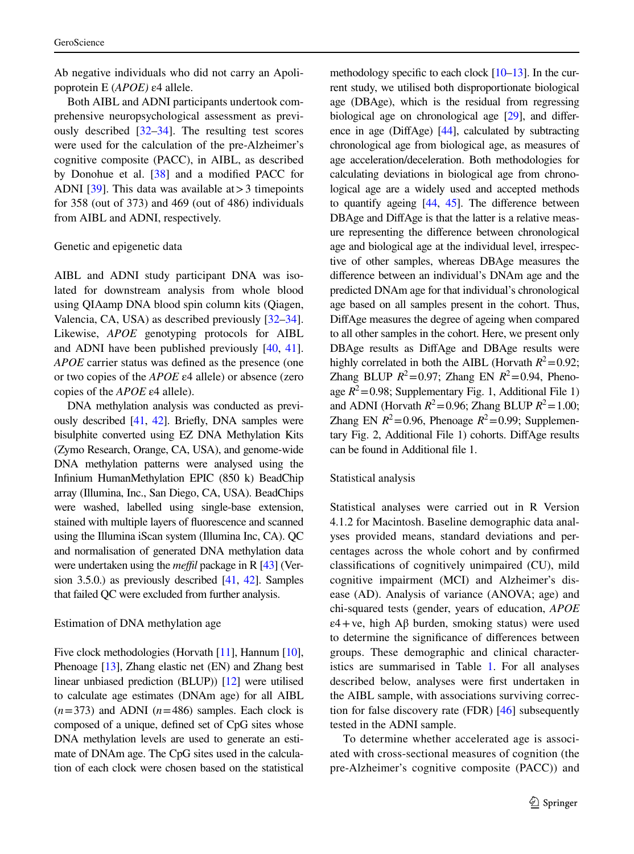Ab negative individuals who did not carry an Apolipoprotein E (*APOE)* ε4 allele.

Both AIBL and ADNI participants undertook comprehensive neuropsychological assessment as previously described [[32–](#page-17-3)[34\]](#page-17-5). The resulting test scores were used for the calculation of the pre-Alzheimer's cognitive composite (PACC), in AIBL, as described by Donohue et al. [\[38](#page-17-9)] and a modifed PACC for ADNI [\[39](#page-17-10)]. This data was available at  $>$  3 timepoints for 358 (out of 373) and 469 (out of 486) individuals from AIBL and ADNI, respectively.

#### Genetic and epigenetic data

AIBL and ADNI study participant DNA was isolated for downstream analysis from whole blood using QIAamp DNA blood spin column kits (Qiagen, Valencia, CA, USA) as described previously [\[32](#page-17-3)[–34](#page-17-5)]. Likewise, *APOE* genotyping protocols for AIBL and ADNI have been published previously [\[40](#page-17-11), [41](#page-17-12)]. *APOE* carrier status was defned as the presence (one or two copies of the *APOE* ε4 allele) or absence (zero copies of the *APOE* ε4 allele).

DNA methylation analysis was conducted as previously described [\[41](#page-17-12), [42](#page-17-13)]. Briefy, DNA samples were bisulphite converted using EZ DNA Methylation Kits (Zymo Research, Orange, CA, USA), and genome-wide DNA methylation patterns were analysed using the Infnium HumanMethylation EPIC (850 k) BeadChip array (Illumina, Inc., San Diego, CA, USA). BeadChips were washed, labelled using single-base extension, stained with multiple layers of fuorescence and scanned using the Illumina iScan system (Illumina Inc, CA). QC and normalisation of generated DNA methylation data were undertaken using the *meffil* package in R [\[43\]](#page-17-14) (Version 3.5.0.) as previously described [[41](#page-17-12), [42](#page-17-13)]. Samples that failed QC were excluded from further analysis.

#### Estimation of DNA methylation age

Five clock methodologies (Horvath [[11](#page-16-9)], Hannum [[10\]](#page-16-8), Phenoage [[13](#page-16-11)], Zhang elastic net (EN) and Zhang best linear unbiased prediction (BLUP)) [[12](#page-16-10)] were utilised to calculate age estimates (DNAm age) for all AIBL  $(n=373)$  and ADNI  $(n=486)$  samples. Each clock is composed of a unique, defned set of CpG sites whose DNA methylation levels are used to generate an estimate of DNAm age. The CpG sites used in the calculation of each clock were chosen based on the statistical methodology specific to each clock  $[10-13]$  $[10-13]$ . In the current study, we utilised both disproportionate biological age (DBAge), which is the residual from regressing biological age on chronological age [\[29\]](#page-17-0), and diference in age (DifAge) [\[44\]](#page-17-15), calculated by subtracting chronological age from biological age, as measures of age acceleration/deceleration. Both methodologies for calculating deviations in biological age from chronological age are a widely used and accepted methods to quantify ageing [[44](#page-17-15), [45](#page-17-16)]. The diference between DBAge and DiffAge is that the latter is a relative measure representing the diference between chronological age and biological age at the individual level, irrespective of other samples, whereas DBAge measures the diference between an individual's DNAm age and the predicted DNAm age for that individual's chronological age based on all samples present in the cohort. Thus, DifAge measures the degree of ageing when compared to all other samples in the cohort. Here, we present only DBAge results as DifAge and DBAge results were highly correlated in both the AIBL (Horvath  $R^2$  = 0.92; Zhang BLUP  $R^2 = 0.97$ ; Zhang EN  $R^2 = 0.94$ , Phenoage  $R^2$ =0.98; Supplementary Fig. 1, Additional File 1) and ADNI (Horvath  $R^2$ =0.96; Zhang BLUP  $R^2$ =1.00; Zhang EN  $R^2$ =0.96, Phenoage  $R^2$ =0.99; Supplementary Fig. 2, Additional File 1) cohorts. DiffAge results can be found in Additional fle 1.

### Statistical analysis

Statistical analyses were carried out in R Version 4.1.2 for Macintosh. Baseline demographic data analyses provided means, standard deviations and percentages across the whole cohort and by confrmed classifcations of cognitively unimpaired (CU), mild cognitive impairment (MCI) and Alzheimer's disease (AD). Analysis of variance (ANOVA; age) and chi-squared tests (gender, years of education, *APOE*  $\varepsilon$ 4+ve, high A $\beta$  burden, smoking status) were used to determine the signifcance of diferences between groups. These demographic and clinical characteristics are summarised in Table [1.](#page-7-0) For all analyses described below, analyses were frst undertaken in the AIBL sample, with associations surviving correction for false discovery rate (FDR) [\[46](#page-17-17)] subsequently tested in the ADNI sample.

To determine whether accelerated age is associated with cross-sectional measures of cognition (the pre-Alzheimer's cognitive composite (PACC)) and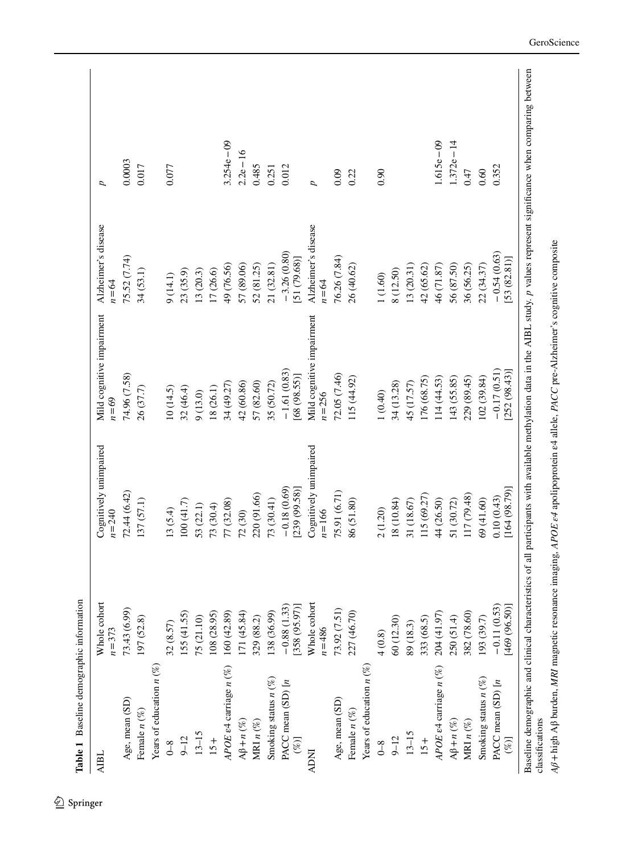<span id="page-7-0"></span>

| <b>AIBL</b>                  | Whole cohort<br>$n = 373$     | Cognitively unimpaired<br>$n = 240$ | Mild cognitive impairment<br>$n=69$    | Alzheimer's disease<br>$n = 64$ | p             |
|------------------------------|-------------------------------|-------------------------------------|----------------------------------------|---------------------------------|---------------|
| Age, mean (SD)               | 73.43 (6.99)                  | 72.44 (6.42)                        | 74.96 (7.58)                           | 75.52 (7.74)                    | 0.0003        |
| Female $n$ $(\%)$            | 197 (52.8)                    | 137 (57.1)                          | 26 (37.7)                              | 34(53.1)                        | 0.017         |
| Years of education $n$ (%)   |                               |                                     |                                        |                                 |               |
| $\sqrt{3}$                   | 32 (8.57)                     | 13(5.4)                             | (0(14.5)                               | 9(14.1)                         | 0.077         |
| $9 - 12$                     | 155(41.55)                    | 100(41.7)                           | 32 (46.4)                              | 23 (35.9)                       |               |
| $13 - 15$                    | 75 (21.10)                    | 53 (22.1)                           | 9(13.0)                                | 13(20.3)                        |               |
| $15+$                        | 108 (28.95)                   | 73 (30.4)                           | 18 (26.1)                              | 17 (26.6)                       |               |
| APOE e4 carriage $n$ (%)     | 160 (42.89)                   | 77 (32.08)                          | 34 (49.27)                             | 49 (76.56)                      | $3.254e - 09$ |
| $A\beta+n(%)$                | [71(45.84)                    | 72 (30)                             | 42 (60.86)                             | 57 (89.06)                      | $2.2e - 16$   |
| MRI $n$ $(\%)$               | 329 (88.2)                    | 220 (91.66)                         | 57 (82.60)                             | 52 (81.25)                      | 0.485         |
| Smoking status $n$ (%)       | 138 (36.99)                   | 73 (30.41)                          | 35 (50.72)                             | 21 (32.81)                      | 0.251         |
| PACC mean (SD) [n<br>$(\%)$  | $-0.88(1.33)$<br>358 (95.97)] | $-0.18(0.69)$<br>239 (99.58)]       | $-1.61(0.83)$<br>[68 (98.55)]          | $-3.26(0.80)$<br>[51(79.68)]    | 0.012         |
| <b>ADNI</b>                  | Whole cohort<br>$n = 486$     | Cognitively unimpaired<br>$n = 166$ | Mild cognitive impairment<br>$n = 256$ | Alzheimer's disease<br>$n = 64$ | Þ             |
| Age, mean (SD)               | 73.92 (7.51)                  | 75.91 (6.71)                        | 72.05 (7.46)                           | 76.26 (7.84)                    | 0.09          |
| Female $n$ $(\%)$            | 227 (46.70)                   | 86 (51.80)                          | 115 (44.92)                            | 26 (40.62)                      | 0.22          |
| Years of education $n$ (%)   |                               |                                     |                                        |                                 |               |
| $0 - 8$                      | 4(0.8)                        | 2(1.20)                             | 1 (0.40)                               | 1(1.60)                         | 0.90          |
| $9 - 12$                     | 60 (12.30)                    | 18 (10.84)                          | 34 (13.28)                             | 8 (12.50)                       |               |
| $13 - 15$                    | 89 (18.3)                     | 31 (18.67)                          | 45 (17.57)                             | 13 (20.31)                      |               |
| $15+$                        | 333 (68.5)                    | 115 (69.27)                         | 176 (68.75)                            | 42 (65.62)                      |               |
| APOE e4 carriage $n$ (%)     | 204 (41.97)                   | 44 (26.50)                          | 114(44.53)                             | 46 (71.87)                      | $.615e - 09$  |
| $A\beta+n(\%)$               | 250 (51.4)                    | 51 (30.72)                          | (43(55.85)                             | 56 (87.50)                      | $.372e - 14$  |
| MRI $n$<br>$(\%)$            | 382 (78.60)                   | 117 (79.48)                         | 229 (89.45)                            | 36 (56.25)                      | 0.47          |
| Smoking status $n$ (%)       | 193 (39.7)                    | 69 (41.60)                          | 102 (39.84)                            | 22 (34.37)                      | 0.60          |
| PACC mean (SD) [n<br>$($ %)] | 469 (96.50)]<br>$-0.11(0.53)$ | [164(98.79)]<br>0.10(0.43)          | $-0.17(0.51)$<br>252(98.43)            | $-0.54(0.63)$<br>[53(82.81)]    | 0.352         |

Aß + high Aß burden, MRI magnetic resonance imaging, APOE e4 apolipoprotein e4 allele, PACC pre-Alzheimer's cognitive composite *Aβ*+high Aβ burden, *MRI* magnetic resonance imaging, *APOE ε4* apolipoprotein ε4 allele, *PACC* pre-Alzheimer's cognitive composite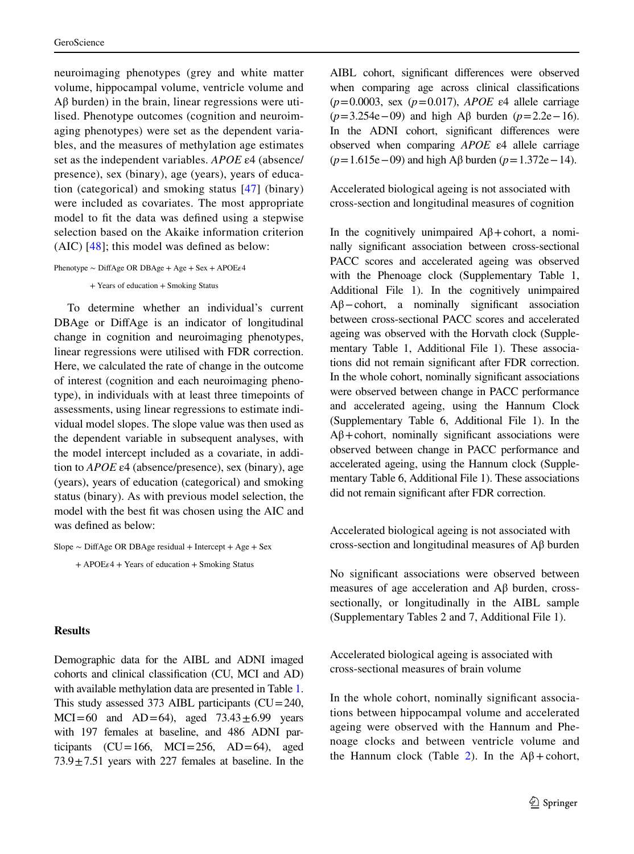neuroimaging phenotypes (grey and white matter volume, hippocampal volume, ventricle volume and Aβ burden) in the brain, linear regressions were utilised. Phenotype outcomes (cognition and neuroimaging phenotypes) were set as the dependent variables, and the measures of methylation age estimates set as the independent variables. *APOE* ε4 (absence/ presence), sex (binary), age (years), years of education (categorical) and smoking status [\[47\]](#page-17-18) (binary) were included as covariates. The most appropriate model to ft the data was defned using a stepwise selection based on the Akaike information criterion (AIC) [\[48\]](#page-17-19); this model was defned as below:

```
Phenotype ∼ DiffAge OR DBAge + Age + Sex + APOE<sub>ε4</sub>
```
+ Years of education + Smoking Status

To determine whether an individual's current DBAge or DiffAge is an indicator of longitudinal change in cognition and neuroimaging phenotypes, linear regressions were utilised with FDR correction. Here, we calculated the rate of change in the outcome of interest (cognition and each neuroimaging phenotype), in individuals with at least three timepoints of assessments, using linear regressions to estimate individual model slopes. The slope value was then used as the dependent variable in subsequent analyses, with the model intercept included as a covariate, in addition to *APOE* ε4 (absence/presence), sex (binary), age (years), years of education (categorical) and smoking status (binary). As with previous model selection, the model with the best ft was chosen using the AIC and was defned as below:

Slope ∼ DiffAge OR DBAge residual + Intercept + Age + Sex  $+$  APOE $\epsilon$ 4 + Years of education + Smoking Status

#### **Results**

Demographic data for the AIBL and ADNI imaged cohorts and clinical classifcation (CU, MCI and AD) with available methylation data are presented in Table [1.](#page-7-0) This study assessed 373 AIBL participants  $(CU=240,$  $MCI=60$  and  $AD=64$ ), aged  $73.43\pm6.99$  years with 197 females at baseline, and 486 ADNI participants  $(CU=166, MCl=256, AD=64)$ , aged  $73.9 \pm 7.51$  years with 227 females at baseline. In the AIBL cohort, signifcant diferences were observed when comparing age across clinical classifcations (*p*=0.0003, sex (*p*=0.017), *APOE* ε4 allele carriage (*p*=3.254e−09) and high Aβ burden (*p*=2.2e−16). In the ADNI cohort, signifcant diferences were observed when comparing *APOE* ε4 allele carriage (*p*=1.615e−09) and high Aβ burden (*p*=1.372e−14).

Accelerated biological ageing is not associated with cross-section and longitudinal measures of cognition

In the cognitively unimpaired  $\mathbf{A}\beta + \mathbf{cohort}$ , a nominally signifcant association between cross-sectional PACC scores and accelerated ageing was observed with the Phenoage clock (Supplementary Table 1, Additional File 1). In the cognitively unimpaired  $A\beta$  - cohort, a nominally significant association between cross-sectional PACC scores and accelerated ageing was observed with the Horvath clock (Supplementary Table 1, Additional File 1). These associations did not remain signifcant after FDR correction. In the whole cohort, nominally signifcant associations were observed between change in PACC performance and accelerated ageing, using the Hannum Clock (Supplementary Table 6, Additional File 1). In the  $A\beta$ +cohort, nominally significant associations were observed between change in PACC performance and accelerated ageing, using the Hannum clock (Supplementary Table 6, Additional File 1). These associations did not remain signifcant after FDR correction.

Accelerated biological ageing is not associated with cross-section and longitudinal measures of Aβ burden

No signifcant associations were observed between measures of age acceleration and Aβ burden, crosssectionally, or longitudinally in the AIBL sample (Supplementary Tables 2 and 7, Additional File 1).

Accelerated biological ageing is associated with cross-sectional measures of brain volume

In the whole cohort, nominally signifcant associations between hippocampal volume and accelerated ageing were observed with the Hannum and Phenoage clocks and between ventricle volume and the Hannum clock (Table [2\)](#page-9-0). In the  $A\beta$ +cohort,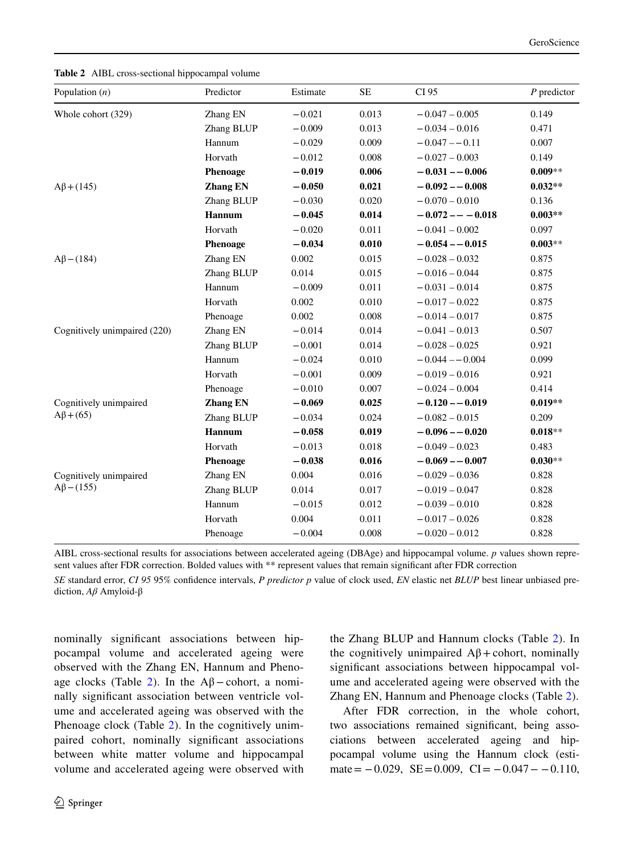<span id="page-9-0"></span>**Table 2** AIBL cross-sectional hippocampal volume

| Population $(n)$                           | Predictor       | Estimate | <b>SE</b> | CI 95               | $P$ predictor |
|--------------------------------------------|-----------------|----------|-----------|---------------------|---------------|
| Whole cohort (329)                         | Zhang EN        | $-0.021$ | 0.013     | $-0.047 - 0.005$    | 0.149         |
|                                            | Zhang BLUP      | $-0.009$ | 0.013     | $-0.034 - 0.016$    | 0.471         |
|                                            | Hannum          | $-0.029$ | 0.009     | $-0.047 - 0.11$     | 0.007         |
|                                            | Horvath         | $-0.012$ | 0.008     | $-0.027 - 0.003$    | 0.149         |
|                                            | <b>Phenoage</b> | $-0.019$ | 0.006     | $-0.031 - -0.006$   | $0.009**$     |
| $A\beta$ + (145)                           | <b>Zhang EN</b> | $-0.050$ | 0.021     | $-0.092 - 0.008$    | $0.032**$     |
|                                            | Zhang BLUP      | $-0.030$ | 0.020     | $-0.070 - 0.010$    | 0.136         |
|                                            | Hannum          | $-0.045$ | 0.014     | $-0.072 - - -0.018$ | $0.003**$     |
|                                            | Horvath         | $-0.020$ | 0.011     | $-0.041 - 0.002$    | 0.097         |
|                                            | Phenoage        | $-0.034$ | 0.010     | $-0.054 - 0.015$    | $0.003**$     |
| $A\beta$ – (184)                           | Zhang EN        | 0.002    | 0.015     | $-0.028 - 0.032$    | 0.875         |
|                                            | Zhang BLUP      | 0.014    | 0.015     | $-0.016 - 0.044$    | 0.875         |
|                                            | Hannum          | $-0.009$ | 0.011     | $-0.031 - 0.014$    | 0.875         |
|                                            | Horvath         | 0.002    | 0.010     | $-0.017 - 0.022$    | 0.875         |
|                                            | Phenoage        | 0.002    | 0.008     | $-0.014 - 0.017$    | 0.875         |
| Cognitively unimpaired (220)               | Zhang EN        | $-0.014$ | 0.014     | $-0.041 - 0.013$    | 0.507         |
|                                            | Zhang BLUP      | $-0.001$ | 0.014     | $-0.028 - 0.025$    | 0.921         |
|                                            | Hannum          | $-0.024$ | 0.010     | $-0.044 - 0.004$    | 0.099         |
|                                            | Horvath         | $-0.001$ | 0.009     | $-0.019 - 0.016$    | 0.921         |
|                                            | Phenoage        | $-0.010$ | 0.007     | $-0.024 - 0.004$    | 0.414         |
| Cognitively unimpaired<br>$A\beta$ +(65)   | <b>Zhang EN</b> | $-0.069$ | 0.025     | $-0.120 - 0.019$    | $0.019**$     |
|                                            | Zhang BLUP      | $-0.034$ | 0.024     | $-0.082 - 0.015$    | 0.209         |
|                                            | Hannum          | $-0.058$ | 0.019     | $-0.096 - -0.020$   | $0.018**$     |
|                                            | Horvath         | $-0.013$ | 0.018     | $-0.049 - 0.023$    | 0.483         |
|                                            | Phenoage        | $-0.038$ | 0.016     | $-0.069 - 0.007$    | $0.030**$     |
| Cognitively unimpaired<br>$A\beta$ – (155) | Zhang EN        | 0.004    | 0.016     | $-0.029 - 0.036$    | 0.828         |
|                                            | Zhang BLUP      | 0.014    | 0.017     | $-0.019 - 0.047$    | 0.828         |
|                                            | Hannum          | $-0.015$ | 0.012     | $-0.039 - 0.010$    | 0.828         |
|                                            | Horvath         | 0.004    | 0.011     | $-0.017 - 0.026$    | 0.828         |
|                                            | Phenoage        | $-0.004$ | 0.008     | $-0.020 - 0.012$    | 0.828         |

AIBL cross-sectional results for associations between accelerated ageing (DBAge) and hippocampal volume. *p* values shown represent values after FDR correction. Bolded values with \*\* represent values that remain significant after FDR correction

*SE* standard error, *CI 95* 95% confdence intervals, *P predictor p* value of clock used, *EN* elastic net *BLUP* best linear unbiased prediction, *Aβ* Amyloid-β

nominally signifcant associations between hippocampal volume and accelerated ageing were observed with the Zhang EN, Hannum and Pheno-age clocks (Table [2](#page-9-0)). In the  $A\beta$  – cohort, a nominally signifcant association between ventricle volume and accelerated ageing was observed with the Phenoage clock (Table [2\)](#page-9-0). In the cognitively unimpaired cohort, nominally signifcant associations between white matter volume and hippocampal volume and accelerated ageing were observed with the Zhang BLUP and Hannum clocks (Table [2](#page-9-0)). In the cognitively unimpaired  $A\beta$ +cohort, nominally signifcant associations between hippocampal volume and accelerated ageing were observed with the Zhang EN, Hannum and Phenoage clocks (Table [2\)](#page-9-0).

After FDR correction, in the whole cohort, two associations remained signifcant, being associations between accelerated ageing and hippocampal volume using the Hannum clock (estimate =  $-0.029$ , SE = 0.009, CI =  $-0.047 - 0.110$ ,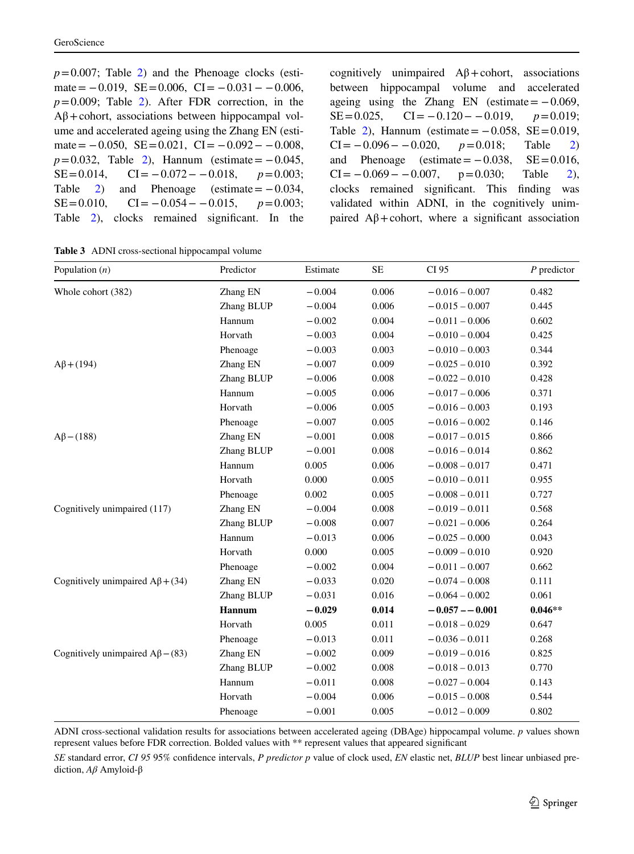$p=0.007$ ; Table [2](#page-9-0)) and the Phenoage clocks (estimate =  $-0.019$ , SE = 0.006, CI =  $-0.031 - 0.006$ ,  $p=0.009$ ; Table [2\)](#page-9-0). After FDR correction, in the  $A\beta$ +cohort, associations between hippocampal volume and accelerated ageing using the Zhang EN (estimate =  $-0.050$ , SE = 0.021, CI =  $-0.092 - 0.008$ ,  $p=0.032$ , Table [2\)](#page-9-0), Hannum (estimate =  $-0.045$ , SE=0.014, CI= −0.072 − −0.018, *p*=0.003; Table  $2)$  and Phenoage (estimate =  $-0.034$ , SE=0.010, CI= −0.054 − −0.015, *p*=0.003; Table [2](#page-9-0)), clocks remained significant. In the cognitively unimpaired  $A\beta$ +cohort, associations between hippocampal volume and accelerated ageing using the Zhang EN (estimate =  $-0.069$ , SE=0.025, CI= −0.120 − −0.019, *p*=0.019; Table [2\)](#page-9-0), Hannum (estimate =  $-0.058$ , SE = 0.019, CI= −0.096− −0.020, *p*=0.018; Table [2\)](#page-9-0) and Phenoage (estimate =  $-0.038$ , SE = 0.016,  $CI = -0.069 - -0.007$ ,  $p=0.030$ ; Table [2](#page-9-0)), clocks remained signifcant. This fnding was validated within ADNI, in the cognitively unimpaired  $Aβ$ +cohort, where a significant association

<span id="page-10-0"></span>**Table 3** ADNI cross-sectional hippocampal volume

| Population $(n)$                       | Predictor     | Estimate | <b>SE</b> | CI 95             | $P$ predictor |
|----------------------------------------|---------------|----------|-----------|-------------------|---------------|
| Whole cohort (382)                     | Zhang EN      | $-0.004$ | 0.006     | $-0.016 - 0.007$  | 0.482         |
|                                        | Zhang BLUP    | $-0.004$ | 0.006     | $-0.015 - 0.007$  | 0.445         |
|                                        | Hannum        | $-0.002$ | 0.004     | $-0.011 - 0.006$  | 0.602         |
|                                        | Horvath       | $-0.003$ | 0.004     | $-0.010 - 0.004$  | 0.425         |
|                                        | Phenoage      | $-0.003$ | 0.003     | $-0.010 - 0.003$  | 0.344         |
| $A\beta$ + (194)                       | Zhang EN      | $-0.007$ | 0.009     | $-0.025 - 0.010$  | 0.392         |
|                                        | Zhang BLUP    | $-0.006$ | 0.008     | $-0.022 - 0.010$  | 0.428         |
|                                        | Hannum        | $-0.005$ | 0.006     | $-0.017 - 0.006$  | 0.371         |
|                                        | Horvath       | $-0.006$ | 0.005     | $-0.016 - 0.003$  | 0.193         |
|                                        | Phenoage      | $-0.007$ | 0.005     | $-0.016 - 0.002$  | 0.146         |
| $A\beta$ – (188)                       | Zhang EN      | $-0.001$ | 0.008     | $-0.017 - 0.015$  | 0.866         |
|                                        | Zhang BLUP    | $-0.001$ | 0.008     | $-0.016 - 0.014$  | 0.862         |
|                                        | Hannum        | 0.005    | 0.006     | $-0.008 - 0.017$  | 0.471         |
|                                        | Horvath       | 0.000    | 0.005     | $-0.010 - 0.011$  | 0.955         |
|                                        | Phenoage      | 0.002    | 0.005     | $-0.008 - 0.011$  | 0.727         |
| Cognitively unimpaired (117)           | Zhang EN      | $-0.004$ | 0.008     | $-0.019 - 0.011$  | 0.568         |
|                                        | Zhang BLUP    | $-0.008$ | 0.007     | $-0.021 - 0.006$  | 0.264         |
|                                        | Hannum        | $-0.013$ | 0.006     | $-0.025 - 0.000$  | 0.043         |
|                                        | Horvath       | 0.000    | 0.005     | $-0.009 - 0.010$  | 0.920         |
|                                        | Phenoage      | $-0.002$ | 0.004     | $-0.011 - 0.007$  | 0.662         |
| Cognitively unimpaired $A\beta$ + (34) | Zhang EN      | $-0.033$ | 0.020     | $-0.074 - 0.008$  | 0.111         |
|                                        | Zhang BLUP    | $-0.031$ | 0.016     | $-0.064 - 0.002$  | 0.061         |
|                                        | <b>Hannum</b> | $-0.029$ | 0.014     | $-0.057 - -0.001$ | $0.046**$     |
|                                        | Horvath       | 0.005    | 0.011     | $-0.018 - 0.029$  | 0.647         |
|                                        | Phenoage      | $-0.013$ | 0.011     | $-0.036 - 0.011$  | 0.268         |
| Cognitively unimpaired $A\beta$ – (83) | Zhang EN      | $-0.002$ | 0.009     | $-0.019 - 0.016$  | 0.825         |
|                                        | Zhang BLUP    | $-0.002$ | 0.008     | $-0.018 - 0.013$  | 0.770         |
|                                        | Hannum        | $-0.011$ | 0.008     | $-0.027 - 0.004$  | 0.143         |
|                                        | Horvath       | $-0.004$ | 0.006     | $-0.015 - 0.008$  | 0.544         |
|                                        | Phenoage      | $-0.001$ | 0.005     | $-0.012 - 0.009$  | 0.802         |

ADNI cross-sectional validation results for associations between accelerated ageing (DBAge) hippocampal volume. *p* values shown represent values before FDR correction. Bolded values with \*\* represent values that appeared signifcant

*SE* standard error, *CI 95* 95% confdence intervals, *P predictor p* value of clock used, *EN* elastic net, *BLUP* best linear unbiased prediction, *Aβ* Amyloid-β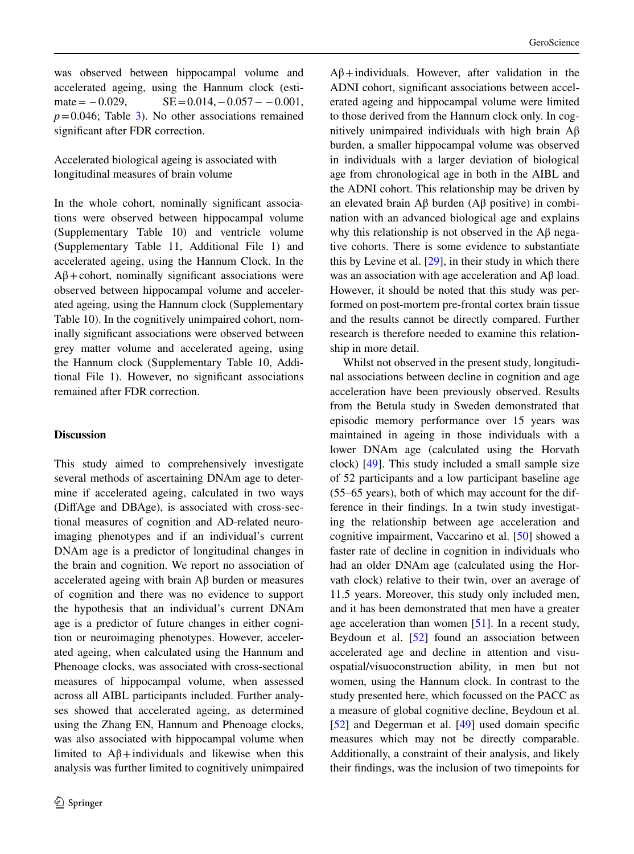was observed between hippocampal volume and accelerated ageing, using the Hannum clock (estimate =  $-0.029$ , SE =  $0.014$ ,  $-0.057 - 0.001$ ,  $p=0.046$ ; Table [3\)](#page-10-0). No other associations remained signifcant after FDR correction.

Accelerated biological ageing is associated with longitudinal measures of brain volume

In the whole cohort, nominally signifcant associations were observed between hippocampal volume (Supplementary Table 10) and ventricle volume (Supplementary Table 11, Additional File 1) and accelerated ageing, using the Hannum Clock. In the  $A\beta$ +cohort, nominally significant associations were observed between hippocampal volume and accelerated ageing, using the Hannum clock (Supplementary Table 10). In the cognitively unimpaired cohort, nominally signifcant associations were observed between grey matter volume and accelerated ageing, using the Hannum clock (Supplementary Table 10, Additional File 1). However, no signifcant associations remained after FDR correction.

# **Discussion**

This study aimed to comprehensively investigate several methods of ascertaining DNAm age to determine if accelerated ageing, calculated in two ways (DifAge and DBAge), is associated with cross-sectional measures of cognition and AD-related neuroimaging phenotypes and if an individual's current DNAm age is a predictor of longitudinal changes in the brain and cognition. We report no association of accelerated ageing with brain Aβ burden or measures of cognition and there was no evidence to support the hypothesis that an individual's current DNAm age is a predictor of future changes in either cognition or neuroimaging phenotypes. However, accelerated ageing, when calculated using the Hannum and Phenoage clocks, was associated with cross-sectional measures of hippocampal volume, when assessed across all AIBL participants included. Further analyses showed that accelerated ageing, as determined using the Zhang EN, Hannum and Phenoage clocks, was also associated with hippocampal volume when limited to  $A\beta$ +individuals and likewise when this analysis was further limited to cognitively unimpaired

 $A\beta$ +individuals. However, after validation in the ADNI cohort, signifcant associations between accelerated ageing and hippocampal volume were limited to those derived from the Hannum clock only. In cognitively unimpaired individuals with high brain  $\mathbf{A}\mathbf{B}$ burden, a smaller hippocampal volume was observed in individuals with a larger deviation of biological age from chronological age in both in the AIBL and the ADNI cohort. This relationship may be driven by an elevated brain Aβ burden (Aβ positive) in combination with an advanced biological age and explains why this relationship is not observed in the  $\mathbf{A}\beta$  negative cohorts. There is some evidence to substantiate this by Levine et al. [[29\]](#page-17-0), in their study in which there was an association with age acceleration and  $A\beta$  load. However, it should be noted that this study was performed on post-mortem pre-frontal cortex brain tissue and the results cannot be directly compared. Further research is therefore needed to examine this relationship in more detail.

Whilst not observed in the present study, longitudinal associations between decline in cognition and age acceleration have been previously observed. Results from the Betula study in Sweden demonstrated that episodic memory performance over 15 years was maintained in ageing in those individuals with a lower DNAm age (calculated using the Horvath clock) [\[49](#page-17-20)]. This study included a small sample size of 52 participants and a low participant baseline age (55–65 years), both of which may account for the difference in their fndings. In a twin study investigating the relationship between age acceleration and cognitive impairment, Vaccarino et al. [\[50](#page-17-21)] showed a faster rate of decline in cognition in individuals who had an older DNAm age (calculated using the Horvath clock) relative to their twin, over an average of 11.5 years. Moreover, this study only included men, and it has been demonstrated that men have a greater age acceleration than women [\[51](#page-17-22)]. In a recent study, Beydoun et al. [\[52](#page-17-23)] found an association between accelerated age and decline in attention and visuospatial/visuoconstruction ability, in men but not women, using the Hannum clock. In contrast to the study presented here, which focussed on the PACC as a measure of global cognitive decline, Beydoun et al. [\[52](#page-17-23)] and Degerman et al. [[49\]](#page-17-20) used domain specific measures which may not be directly comparable. Additionally, a constraint of their analysis, and likely their fndings, was the inclusion of two timepoints for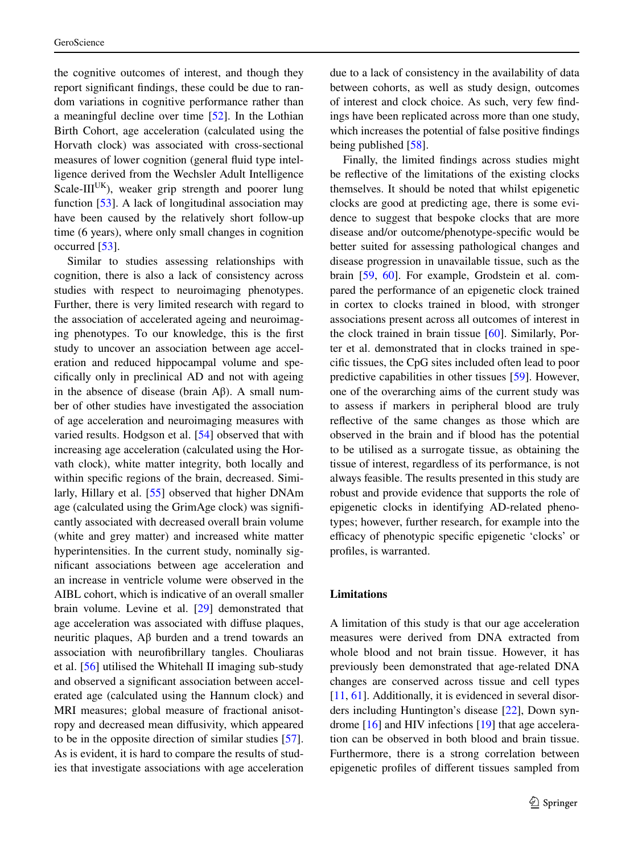the cognitive outcomes of interest, and though they report signifcant fndings, these could be due to random variations in cognitive performance rather than a meaningful decline over time [\[52](#page-17-23)]. In the Lothian Birth Cohort, age acceleration (calculated using the Horvath clock) was associated with cross-sectional measures of lower cognition (general fuid type intelligence derived from the Wechsler Adult Intelligence Scale- $III^{UK}$ ), weaker grip strength and poorer lung function [\[53](#page-17-24)]. A lack of longitudinal association may have been caused by the relatively short follow-up time (6 years), where only small changes in cognition occurred [[53\]](#page-17-24).

Similar to studies assessing relationships with cognition, there is also a lack of consistency across studies with respect to neuroimaging phenotypes. Further, there is very limited research with regard to the association of accelerated ageing and neuroimaging phenotypes. To our knowledge, this is the frst study to uncover an association between age acceleration and reduced hippocampal volume and specifcally only in preclinical AD and not with ageing in the absence of disease (brain  $Aβ$ ). A small number of other studies have investigated the association of age acceleration and neuroimaging measures with varied results. Hodgson et al. [\[54](#page-17-25)] observed that with increasing age acceleration (calculated using the Horvath clock), white matter integrity, both locally and within specifc regions of the brain, decreased. Similarly, Hillary et al. [\[55](#page-17-26)] observed that higher DNAm age (calculated using the GrimAge clock) was signifcantly associated with decreased overall brain volume (white and grey matter) and increased white matter hyperintensities. In the current study, nominally signifcant associations between age acceleration and an increase in ventricle volume were observed in the AIBL cohort, which is indicative of an overall smaller brain volume. Levine et al. [[29\]](#page-17-0) demonstrated that age acceleration was associated with difuse plaques, neuritic plaques, Aβ burden and a trend towards an association with neurofbrillary tangles. Chouliaras et al. [[56\]](#page-17-27) utilised the Whitehall II imaging sub-study and observed a signifcant association between accelerated age (calculated using the Hannum clock) and MRI measures; global measure of fractional anisotropy and decreased mean difusivity, which appeared to be in the opposite direction of similar studies [\[57](#page-17-28)]. As is evident, it is hard to compare the results of studies that investigate associations with age acceleration

clocks are good at predicting age, there is some evidence to suggest that bespoke clocks that are more disease and/or outcome/phenotype-specifc would be better suited for assessing pathological changes and disease progression in unavailable tissue, such as the

brain [\[59](#page-18-0), [60](#page-18-1)]. For example, Grodstein et al. compared the performance of an epigenetic clock trained in cortex to clocks trained in blood, with stronger associations present across all outcomes of interest in the clock trained in brain tissue [[60\]](#page-18-1). Similarly, Porter et al. demonstrated that in clocks trained in specifc tissues, the CpG sites included often lead to poor predictive capabilities in other tissues [\[59](#page-18-0)]. However, one of the overarching aims of the current study was to assess if markers in peripheral blood are truly refective of the same changes as those which are observed in the brain and if blood has the potential to be utilised as a surrogate tissue, as obtaining the tissue of interest, regardless of its performance, is not always feasible. The results presented in this study are robust and provide evidence that supports the role of epigenetic clocks in identifying AD-related phenotypes; however, further research, for example into the efficacy of phenotypic specific epigenetic 'clocks' or profles, is warranted.

due to a lack of consistency in the availability of data between cohorts, as well as study design, outcomes of interest and clock choice. As such, very few fndings have been replicated across more than one study, which increases the potential of false positive fndings

Finally, the limited fndings across studies might be refective of the limitations of the existing clocks themselves. It should be noted that whilst epigenetic

being published [\[58](#page-17-29)].

#### **Limitations**

A limitation of this study is that our age acceleration measures were derived from DNA extracted from whole blood and not brain tissue. However, it has previously been demonstrated that age-related DNA changes are conserved across tissue and cell types [\[11](#page-16-9), [61](#page-18-2)]. Additionally, it is evidenced in several disorders including Huntington's disease [\[22](#page-16-20)], Down syndrome [\[16](#page-16-14)] and HIV infections [\[19](#page-16-17)] that age acceleration can be observed in both blood and brain tissue. Furthermore, there is a strong correlation between epigenetic profles of diferent tissues sampled from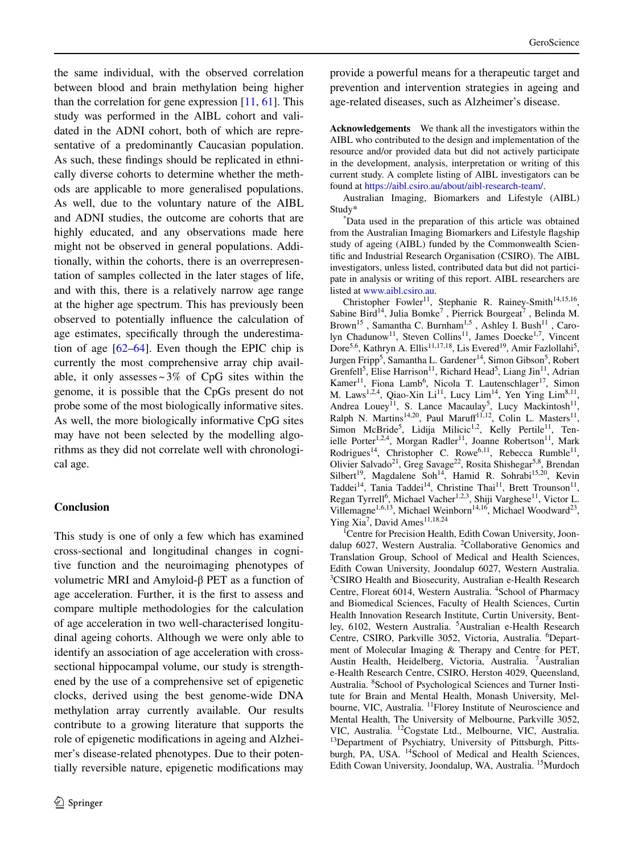the same individual, with the observed correlation between blood and brain methylation being higher than the correlation for gene expression  $[11, 61]$  $[11, 61]$  $[11, 61]$  $[11, 61]$ . This study was performed in the AIBL cohort and validated in the ADNI cohort, both of which are representative of a predominantly Caucasian population. As such, these fndings should be replicated in ethnically diverse cohorts to determine whether the methods are applicable to more generalised populations. As well, due to the voluntary nature of the AIBL and ADNI studies, the outcome are cohorts that are highly educated, and any observations made here might not be observed in general populations. Additionally, within the cohorts, there is an overrepresentation of samples collected in the later stages of life, and with this, there is a relatively narrow age range at the higher age spectrum. This has previously been observed to potentially infuence the calculation of age estimates, specifcally through the underestimation of age  $[62-64]$  $[62-64]$ . Even though the EPIC chip is currently the most comprehensive array chip available, it only assesses  $\sim$  3% of CpG sites within the genome, it is possible that the CpGs present do not probe some of the most biologically informative sites. As well, the more biologically informative CpG sites may have not been selected by the modelling algorithms as they did not correlate well with chronological age.

# **Conclusion**

This study is one of only a few which has examined cross-sectional and longitudinal changes in cognitive function and the neuroimaging phenotypes of volumetric MRI and Amyloid-β PET as a function of age acceleration. Further, it is the frst to assess and compare multiple methodologies for the calculation of age acceleration in two well-characterised longitudinal ageing cohorts. Although we were only able to identify an association of age acceleration with crosssectional hippocampal volume, our study is strengthened by the use of a comprehensive set of epigenetic clocks, derived using the best genome-wide DNA methylation array currently available. Our results contribute to a growing literature that supports the role of epigenetic modifcations in ageing and Alzheimer's disease-related phenotypes. Due to their potentially reversible nature, epigenetic modifcations may

provide a powerful means for a therapeutic target and prevention and intervention strategies in ageing and age-related diseases, such as Alzheimer's disease.

**Acknowledgements** We thank all the investigators within the AIBL who contributed to the design and implementation of the resource and/or provided data but did not actively participate in the development, analysis, interpretation or writing of this current study. A complete listing of AIBL investigators can be found at [https://aibl.csiro.au/about/aibl-research-team/.](https://aibl.csiro.au/about/aibl-research-team/)

Australian Imaging, Biomarkers and Lifestyle (AIBL) Study\* \*

Data used in the preparation of this article was obtained from the Australian Imaging Biomarkers and Lifestyle fagship study of ageing (AIBL) funded by the Commonwealth Scientifc and Industrial Research Organisation (CSIRO). The AIBL investigators, unless listed, contributed data but did not participate in analysis or writing of this report. AIBL researchers are listed at [www.aibl.csiro.au](http://www.aibl.csiro.au).

Christopher Fowler<sup>11</sup>, Stephanie R. Rainey-Smith<sup>14,15,16</sup>, Sabine Bird<sup>14</sup>, Julia Bomke<sup>7</sup>, Pierrick Bourgeat<sup>7</sup>, Belinda M. Brown<sup>15</sup>, Samantha C. Burnham<sup>1,5</sup>, Ashley I. Bush<sup>11</sup>, Carolyn Chadunow<sup>11</sup>, Steven Collins<sup>11</sup>, James Doecke<sup>1,7</sup>, Vincent Dore<sup>5,6</sup>, Kathryn A. Ellis<sup>11,17,18</sup>, Lis Evered<sup>19</sup>, Amir Fazlollahi<sup>5</sup>, Jurgen Fripp<sup>5</sup>, Samantha L. Gardener<sup>14</sup>, Simon Gibson<sup>5</sup>, Robert Grenfell<sup>5</sup>, Elise Harrison<sup>11</sup>, Richard Head<sup>5</sup>, Liang Jin<sup>11</sup>, Adrian Kamer<sup>11</sup>, Fiona Lamb<sup>6</sup>, Nicola T. Lautenschlager<sup>17</sup>, Simon M. Laws<sup>1,2,4</sup>, Qiao-Xin Li<sup>11</sup>, Lucy Lim<sup>14</sup>, Yen Ying Lim<sup>8,11</sup>, Andrea Louey<sup>11</sup>, S. Lance Macaulay<sup>5</sup>, Lucy Mackintosh<sup>11</sup>, Ralph N. Martins<sup>14,20</sup>, Paul Maruff<sup>11,12</sup>, Colin L. Masters<sup>11</sup>, Simon McBride<sup>5</sup>, Lidija Milicic<sup>1,2</sup>, Kelly Pertile<sup>11</sup>, Tenielle Porter<sup>1,2,4</sup>, Morgan Radler<sup>11</sup>, Joanne Robertson<sup>11</sup>, Mark Rodrigues<sup>14</sup>, Christopher C. Rowe<sup>6,11</sup>, Rebecca Rumble<sup>11</sup>, Olivier Salvado<sup>21</sup>, Greg Savage<sup>22</sup>, Rosita Shishegar<sup>5,8</sup>, Brendan Silbert<sup>19</sup>, Magdalene Soh<sup>14</sup>, Hamid R. Sohrabi<sup>15,20</sup>, Kevin Taddei<sup>14</sup>, Tania Taddei<sup>14</sup>, Christine Thai<sup>11</sup>, Brett Trounson<sup>11</sup>, Regan Tyrrell<sup>6</sup>, Michael Vacher<sup>1,2,3</sup>, Shiji Varghese<sup>11</sup>, Victor L. Villemagne<sup>1,6,13</sup>, Michael Weinborn<sup>14,16</sup>, Michael Woodward<sup>23</sup>, Ying Xia<sup>7</sup>, David Ames<sup>11,18,24</sup>

<sup>1</sup> Centre for Precision Health, Edith Cowan University, Joondalup 6027, Western Australia. <sup>2</sup>Collaborative Genomics and Translation Group, School of Medical and Health Sciences, Edith Cowan University, Joondalup 6027, Western Australia. <sup>3</sup>CSIRO Health and Biosecurity, Australian e-Health Research Centre, Floreat 6014, Western Australia. <sup>4</sup>School of Pharmacy and Biomedical Sciences, Faculty of Health Sciences, Curtin Health Innovation Research Institute, Curtin University, Bentley, 6102, Western Australia. <sup>5</sup> Australian e-Health Research Centre, CSIRO, Parkville 3052, Victoria, Australia. <sup>6</sup>Department of Molecular Imaging & Therapy and Centre for PET, Austin Health, Heidelberg, Victoria, Australia. <sup>7</sup> Australian e-Health Research Centre, CSIRO, Herston 4029, Queensland, Australia. <sup>8</sup>School of Psychological Sciences and Turner Institute for Brain and Mental Health, Monash University, Melbourne, VIC, Australia. <sup>11</sup>Florey Institute of Neuroscience and Mental Health, The University of Melbourne, Parkville 3052, VIC, Australia. <sup>12</sup>Cogstate Ltd., Melbourne, VIC, Australia. <sup>13</sup>Department of Psychiatry, University of Pittsburgh, Pittsburgh, PA, USA. <sup>14</sup>School of Medical and Health Sciences, Edith Cowan University, Joondalup, WA, Australia. 15Murdoch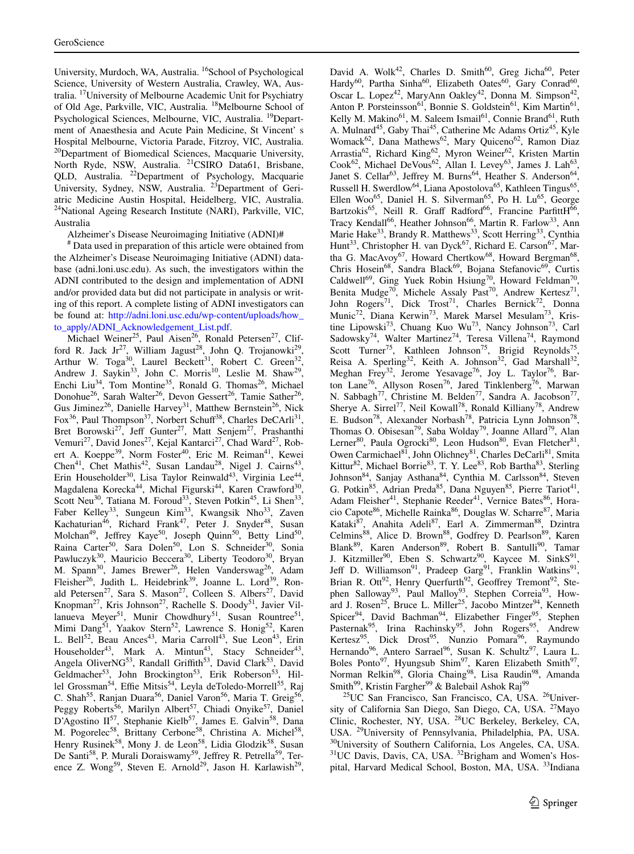University, Murdoch, WA, Australia. <sup>16</sup>School of Psychological Science, University of Western Australia, Crawley, WA, Australia. 17University of Melbourne Academic Unit for Psychiatry of Old Age, Parkville, VIC, Australia. 18Melbourne School of Psychological Sciences, Melbourne, VIC, Australia. <sup>19</sup>Department of Anaesthesia and Acute Pain Medicine, St Vincent' s Hospital Melbourne, Victoria Parade, Fitzroy, VIC, Australia. <sup>20</sup>Department of Biomedical Sciences, Macquarie University, North Ryde, NSW, Australia. <sup>21</sup>CSIRO Data61, Brisbane, QLD, Australia. <sup>22</sup>Department of Psychology, Macquarie University, Sydney, NSW, Australia. <sup>23</sup>Department of Geriatric Medicine Austin Hospital, Heidelberg, VIC, Australia. <sup>24</sup>National Ageing Research Institute (NARI), Parkville, VIC, Australia

Alzheimer's Disease Neuroimaging Initiative (ADNI)#

# Data used in preparation of this article were obtained from the Alzheimer's Disease Neuroimaging Initiative (ADNI) database (adni.loni.usc.edu). As such, the investigators within the ADNI contributed to the design and implementation of ADNI and/or provided data but did not participate in analysis or writing of this report. A complete listing of ADNI investigators can be found at: [http://adni.loni.usc.edu/wp-content/uploads/how\\_](http://adni.loni.usc.edu/wp-content/uploads/how_to_apply/ADNI_Acknowledgement_List.pdf) [to\\_apply/ADNI\\_Acknowledgement\\_List.pdf](http://adni.loni.usc.edu/wp-content/uploads/how_to_apply/ADNI_Acknowledgement_List.pdf).

Michael Weiner<sup>25</sup>, Paul Aisen<sup>26</sup>, Ronald Petersen<sup>27</sup>, Clifford R. Jack Jr<sup>27</sup>, William Jagust<sup>28</sup>, John Q. Trojanowki<sup>29</sup>, Arthur W. Toga<sup>30</sup>, Laurel Beckett<sup>31</sup>, Robert C. Green<sup>32</sup>, Andrew J. Saykin<sup>33</sup>, John C. Morris<sup>10</sup>, Leslie M. Shaw<sup>29</sup>, Enchi Liu<sup>34</sup>, Tom Montine<sup>35</sup>, Ronald G. Thomas<sup>26</sup>, Michael Donohue<sup>26</sup>, Sarah Walter<sup>26</sup>, Devon Gessert<sup>26</sup>, Tamie Sather<sup>26</sup>, Gus Jiminez<sup>26</sup>, Danielle Harvey<sup>31</sup>, Matthew Bernstein<sup>26</sup>, Nick Fox<sup>36</sup>, Paul Thompson<sup>37</sup>, Norbert Schuff<sup>38</sup>, Charles DeCArli<sup>31</sup>, Bret Borowski<sup>27</sup>, Jeff Gunter<sup>27</sup>, Matt Senjem<sup>27</sup>, Prashanthi Vemuri<sup>27</sup>, David Jones<sup>27</sup>, Kejal Kantarci<sup>27</sup>, Chad Ward<sup>27</sup>, Robert A. Koeppe<sup>39</sup>, Norm Foster<sup>40</sup>, Eric M. Reiman<sup>41</sup>, Kewei Chen<sup>41</sup>, Chet Mathis<sup>42</sup>, Susan Landau<sup>28</sup>, Nigel J. Cairns<sup>43</sup>, Erin Householder<sup>30</sup>, Lisa Taylor Reinwald<sup>43</sup>, Virginia Lee<sup>44</sup>, Magdalena Korecka<sup>44</sup>, Michal Figurski<sup>44</sup>, Karen Crawford<sup>30</sup>, Scott Neu<sup>30</sup>, Tatiana M. Foroud<sup>33</sup>, Steven Potkin<sup>45</sup>, Li Shen<sup>33</sup>, Faber Kelley<sup>33</sup>, Sungeun Kim<sup>33</sup>, Kwangsik Nho<sup>33</sup>, Zaven Kachaturian<sup>46</sup>, Richard Frank<sup>47</sup>, Peter J. Snyder<sup>48</sup>, Susan Molchan<sup>49</sup>, Jeffrey Kaye<sup>50</sup>, Joseph Quinn<sup>50</sup>, Betty Lind<sup>50</sup>, Raina Carter<sup>50</sup>, Sara Dolen<sup>50</sup>, Lon S. Schneider<sup>30</sup>, Sonia Pawluczyk<sup>30</sup>, Mauricio Beccera<sup>30</sup>, Liberty Teodoro<sup>30</sup>, Bryan M. Spann<sup>30</sup>, James Brewer<sup>26</sup>, Helen Vanderswag<sup>26</sup>, Adam Fleisher<sup>26</sup>, Judith L. Heidebrink<sup>39</sup>, Joanne L. Lord<sup>39</sup>, Ronald Petersen<sup>27</sup>, Sara S. Mason<sup>27</sup>, Colleen S. Albers<sup>27</sup>, David Knopman<sup>27</sup>, Kris Johnson<sup>27</sup>, Rachelle S. Doody<sup>51</sup>, Javier Villanueva Meyer<sup>51</sup>, Munir Chowdhury<sup>51</sup>, Susan Rountree<sup>51</sup>, Mimi Dang<sup>51</sup>, Yaakov Stern<sup>52</sup>, Lawrence S. Honig<sup>52</sup>, Karen L. Bell<sup>52</sup>, Beau Ances<sup>43</sup>, Maria Carroll<sup>43</sup>, Sue Leon<sup>43</sup>, Erin Householder<sup>43</sup>, Mark A. Mintun<sup>43</sup>, Stacy Schneider<sup>43</sup>, Angela OliverNG<sup>53</sup>, Randall Griffith<sup>53</sup>, David Clark<sup>53</sup>, David Geldmacher<sup>53</sup>, John Brockington<sup>53</sup>, Erik Roberson<sup>53</sup>, Hillel Grossman<sup>54</sup>, Effie Mitsis<sup>54</sup>, Leyla deToledo-Morrell<sup>55</sup>, Raj C. Shah<sup>55</sup>, Ranjan Duara<sup>56</sup>, Daniel Varon<sup>56</sup>, Maria T. Greig<sup>56</sup>, Peggy Roberts<sup>56</sup>, Marilyn Albert<sup>57</sup>, Chiadi Onyike<sup>57</sup>, Daniel D'Agostino  $II^{57}$ , Stephanie Kielb<sup>57</sup>, James E. Galvin<sup>58</sup>, Dana M. Pogorelec<sup>58</sup>, Brittany Cerbone<sup>58</sup>, Christina A. Michel<sup>58</sup>, Henry Rusinek<sup>58</sup>, Mony J. de Leon<sup>58</sup>, Lidia Glodzik<sup>58</sup>, Susan De Santi<sup>58</sup>, P. Murali Doraiswamy<sup>59</sup>, Jeffrey R. Petrella<sup>59</sup>, Terence Z. Wong<sup>59</sup>, Steven E. Arnold<sup>29</sup>, Jason H. Karlawish<sup>29</sup>, David A. Wolk<sup>42</sup>, Charles D. Smith<sup>60</sup>, Greg Jicha<sup>60</sup>, Peter Hardy<sup>60</sup>, Partha Sinha<sup>60</sup>, Elizabeth Oates<sup>60</sup>, Gary Conrad<sup>60</sup>, Oscar L. Lopez<sup>42</sup>, MaryAnn Oakley<sup>42</sup>, Donna M. Simpson<sup>42</sup>, Anton P. Porsteinsson<sup>61</sup>, Bonnie S. Goldstein<sup>61</sup>, Kim Martin<sup>61</sup>, Kelly M. Makino<sup>61</sup>, M. Saleem Ismail<sup>61</sup>, Connie Brand<sup>61</sup>, Ruth A. Mulnard<sup>45</sup>, Gaby Thai<sup>45</sup>, Catherine Mc Adams Ortiz<sup>45</sup>, Kyle Womack<sup>62</sup>, Dana Mathews<sup>62</sup>, Mary Quiceno<sup>62</sup>, Ramon Diaz Arrastia<sup>62</sup>, Richard King<sup>62</sup>, Myron Weiner<sup>62</sup>, Kristen Martin Cook<sup>62</sup>, Michael DeVous<sup>62</sup>, Allan I. Levey<sup>63</sup>, James J. Lah<sup>63</sup>, Janet S. Cellar<sup>63</sup>, Jeffrey M. Burns<sup>64</sup>, Heather S. Anderson<sup>64</sup>, Russell H. Swerdlow<sup>64</sup>, Liana Apostolova<sup>65</sup>, Kathleen Tingus<sup>65</sup>, Ellen Woo<sup>65</sup>, Daniel H. S. Silverman<sup>65</sup>, Po H. Lu<sup>65</sup>, George Bartzokis<sup>65</sup>, Neill R. Graff Radford<sup>66</sup>, Francine ParfittH<sup>66</sup>, Tracy Kendall<sup>66</sup>, Heather Johnson<sup>66</sup>, Martin R. Farlow<sup>33</sup>, Ann Marie Hake<sup>33</sup>, Brandy R. Matthews<sup>33</sup>, Scott Herring<sup>33</sup>, Cynthia Hunt<sup>33</sup>, Christopher H. van Dyck<sup>67</sup>, Richard E. Carson<sup>67</sup>, Martha G. MacAvoy<sup>67</sup>, Howard Chertkow<sup>68</sup>, Howard Bergman<sup>68</sup>, Chris Hosein<sup>68</sup>, Sandra Black<sup>69</sup>, Bojana Stefanovic<sup>69</sup>, Curtis Caldwell<sup>69</sup>, Ging Yuek Robin Hsiung<sup>70</sup>, Howard Feldman<sup>70</sup>, Benita Mudge<sup>70</sup>, Michele Assaly Past<sup>70</sup>, Andrew Kertesz<sup>71</sup>, John Rogers<sup>71</sup>, Dick Trost<sup>71</sup>, Charles Bernick<sup>72</sup>, Donna Munic<sup>72</sup>, Diana Kerwin<sup>73</sup>, Marek Marsel Mesulam<sup>73</sup>, Kristine Lipowski<sup>73</sup>, Chuang Kuo Wu<sup>73</sup>, Nancy Johnson<sup>73</sup>, Carl Sadowsky<sup>74</sup>, Walter Martinez<sup>74</sup>, Teresa Villena<sup>74</sup>, Raymond Scott Turner<sup>75</sup>, Kathleen Johnson<sup>75</sup>, Brigid Reynolds<sup>75</sup>, Reisa A. Sperling<sup>32</sup>, Keith A. Johnson<sup>32</sup>, Gad Marshall<sup>32</sup>, Meghan Frey<sup>32</sup>, Jerome Yesavage<sup>76</sup>, Joy L. Taylor<sup>76</sup>, Barton Lane<sup>76</sup>, Allyson Rosen<sup>76</sup>, Jared Tinklenberg<sup>76</sup>, Marwan N. Sabbagh<sup>77</sup>, Christine M. Belden<sup>77</sup>, Sandra A. Jacobson<sup>77</sup>, Sherye A. Sirrel<sup>77</sup>, Neil Kowall<sup>78</sup>, Ronald Killiany<sup>78</sup>, Andrew E. Budson<sup>78</sup>, Alexander Norbash<sup>78</sup>, Patricia Lynn Johnson<sup>78</sup>, Thomas O. Obisesan<sup>79</sup>, Saba Wolday<sup>79</sup>, Joanne Allard<sup>79</sup>, Alan Lerner<sup>80</sup>, Paula Ogrocki<sup>80</sup>, Leon Hudson<sup>80</sup>, Evan Fletcher<sup>81</sup>, Owen Carmichael<sup>81</sup>, John Olichney<sup>81</sup>, Charles DeCarli<sup>81</sup>, Smita Kittur<sup>82</sup>, Michael Borrie<sup>83</sup>, T. Y. Lee<sup>83</sup>, Rob Bartha<sup>83</sup>, Sterling Johnson<sup>84</sup>, Sanjay Asthana<sup>84</sup>, Cynthia M. Carlsson<sup>84</sup>, Steven G. Potkin<sup>85</sup>, Adrian Preda<sup>85</sup>, Dana Nguyen<sup>85</sup>, Pierre Tariot<sup>41</sup>, Adam Fleisher<sup>41</sup>, Stephanie Reeder<sup>41</sup>, Vernice Bates<sup>86</sup>, Horacio Capote<sup>86</sup>, Michelle Rainka<sup>86</sup>, Douglas W. Scharre<sup>87</sup>, Maria Kataki<sup>87</sup>, Anahita Adeli<sup>87</sup>, Earl A. Zimmerman<sup>88</sup>, Dzintra Celmins<sup>88</sup>, Alice D. Brown<sup>88</sup>, Godfrey D. Pearlson<sup>89</sup>, Karen Blank<sup>89</sup>, Karen Anderson<sup>89</sup>, Robert B. Santulli<sup>90</sup>, Tamar J. Kitzmiller<sup>90</sup>, Eben S. Schwartz<sup>90</sup>, Kaycee M. SinkS<sup>91</sup>, Jeff D. Williamson<sup>91</sup>, Pradeep Garg<sup>91</sup>, Franklin Watkins<sup>91</sup>, Brian R. Ott<sup>92</sup>, Henry Querfurth<sup>92</sup>, Geoffrey Tremont<sup>92</sup>, Stephen Salloway<sup>93</sup>, Paul Malloy<sup>93</sup>, Stephen Correia<sup>93</sup>, Howard J. Rosen<sup>25</sup>, Bruce L. Miller<sup>25</sup>, Jacobo Mintzer<sup>94</sup>, Kenneth Spicer<sup>94</sup>, David Bachman<sup>94</sup>, Elizabether Finger<sup>95</sup>, Stephen Pasternak<sup>95</sup>, Irina Rachinsky<sup>95</sup>, John Rogers<sup>95</sup>, Andrew Kertesz<sup>95</sup>, Dick Drost<sup>95</sup>, Nunzio Pomara<sup>96</sup>, Raymundo Hernando<sup>96</sup>, Antero Sarrael<sup>96</sup>, Susan K. Schultz<sup>97</sup>, Laura L. Boles Ponto<sup>97</sup>, Hyungsub Shim<sup>97</sup>, Karen Elizabeth Smith<sup>97</sup>, Norman Relkin<sup>98</sup>, Gloria Chaing<sup>98</sup>, Lisa Raudin<sup>98</sup>, Amanda Smith<sup>99</sup>, Kristin Fargher<sup>99</sup> & Balebail Ashok Raj<sup>99</sup>

25UC San Francisco, San Francisco, CA, USA. 26University of California San Diego, San Diego, CA, USA. <sup>27</sup>Mayo Clinic, Rochester, NY, USA. 28UC Berkeley, Berkeley, CA, USA. 29University of Pennsylvania, Philadelphia, PA, USA. 30University of Southern California, Los Angeles, CA, USA. <sup>31</sup>UC Davis, Davis, CA, USA. <sup>32</sup>Brigham and Women's Hospital, Harvard Medical School, Boston, MA, USA. <sup>33</sup>Indiana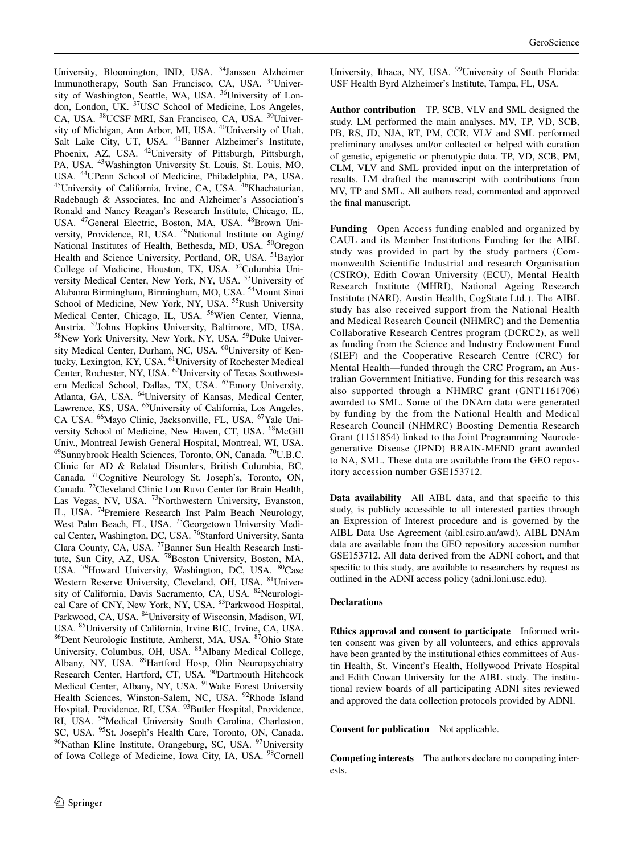University, Bloomington, IND, USA. 34Janssen Alzheimer Immunotherapy, South San Francisco, CA, USA. 35University of Washington, Seattle, WA, USA. <sup>36</sup>University of London, London, UK. 37USC School of Medicine, Los Angeles, CA, USA. 38UCSF MRI, San Francisco, CA, USA. 39University of Michigan, Ann Arbor, MI, USA. 40University of Utah, Salt Lake City, UT, USA. <sup>41</sup>Banner Alzheimer's Institute, Phoenix, AZ, USA.  $^{42}$ University of Pittsburgh, Pittsburgh, PA, USA. <sup>43</sup>Washington University St. Louis, St. Louis, MO, USA. <sup>44</sup>UPenn School of Medicine, Philadelphia, PA, USA. <sup>45</sup>University of California, Irvine, CA, USA. <sup>46</sup>Khachaturian, Radebaugh & Associates, Inc and Alzheimer's Association's Ronald and Nancy Reagan's Research Institute, Chicago, IL, USA. <sup>47</sup>General Electric, Boston, MA, USA. <sup>48</sup>Brown University, Providence, RI, USA. <sup>49</sup>National Institute on Aging/ National Institutes of Health, Bethesda, MD, USA. <sup>50</sup>Oregon Health and Science University, Portland, OR, USA. <sup>51</sup>Baylor College of Medicine, Houston, TX, USA. 52Columbia University Medical Center, New York, NY, USA. <sup>53</sup>University of Alabama Birmingham, Birmingham, MO, USA. 54Mount Sinai School of Medicine, New York, NY, USA. <sup>55</sup>Rush University Medical Center, Chicago, IL, USA. <sup>56</sup>Wien Center, Vienna, Austria. <sup>57</sup>Johns Hopkins University, Baltimore, MD, USA. <sup>58</sup>New York University, New York, NY, USA. <sup>59</sup>Duke University Medical Center, Durham, NC, USA. <sup>60</sup>University of Kentucky, Lexington, KY, USA. <sup>61</sup>University of Rochester Medical Center, Rochester, NY, USA. <sup>62</sup>University of Texas Southwestern Medical School, Dallas, TX, USA. 63Emory University, Atlanta, GA, USA. <sup>64</sup>University of Kansas, Medical Center, Lawrence, KS, USA. <sup>65</sup>University of California, Los Angeles, CA USA. 66Mayo Clinic, Jacksonville, FL, USA. 67Yale University School of Medicine, New Haven, CT, USA. <sup>68</sup>McGill Univ., Montreal Jewish General Hospital, Montreal, WI, USA. 69Sunnybrook Health Sciences, Toronto, ON, Canada. 70U.B.C. Clinic for AD & Related Disorders, British Columbia, BC, Canada. 71Cognitive Neurology St. Joseph's, Toronto, ON, Canada. 72Cleveland Clinic Lou Ruvo Center for Brain Health, Las Vegas, NV, USA. <sup>73</sup>Northwestern University, Evanston, IL, USA. 74Premiere Research Inst Palm Beach Neurology, West Palm Beach, FL, USA. <sup>75</sup>Georgetown University Medical Center, Washington, DC, USA. <sup>76</sup>Stanford University, Santa Clara County, CA, USA. 77Banner Sun Health Research Institute, Sun City, AZ, USA. <sup>78</sup>Boston University, Boston, MA, USA. <sup>79</sup>Howard University, Washington, DC, USA. <sup>80</sup>Case Western Reserve University, Cleveland, OH, USA. <sup>81</sup>University of California, Davis Sacramento, CA, USA. <sup>82</sup>Neurological Care of CNY, New York, NY, USA. 83Parkwood Hospital, Parkwood, CA, USA. <sup>84</sup>University of Wisconsin, Madison, WI, USA. <sup>85</sup>University of California, Irvine BIC, Irvine, CA, USA. <sup>86</sup>Dent Neurologic Institute, Amherst, MA, USA. <sup>87</sup>Ohio State University, Columbus, OH, USA. 88Albany Medical College, Albany, NY, USA. <sup>89</sup>Hartford Hosp, Olin Neuropsychiatry Research Center, Hartford, CT, USA. <sup>90</sup>Dartmouth Hitchcock Medical Center, Albany, NY, USA. <sup>91</sup>Wake Forest University Health Sciences, Winston-Salem, NC, USA. <sup>92</sup>Rhode Island Hospital, Providence, RI, USA. <sup>93</sup>Butler Hospital, Providence, RI, USA. <sup>94</sup>Medical University South Carolina, Charleston, SC, USA. <sup>95</sup>St. Joseph's Health Care, Toronto, ON, Canada. <sup>96</sup>Nathan Kline Institute, Orangeburg, SC, USA. <sup>97</sup>University of Iowa College of Medicine, Iowa City, IA, USA. <sup>98</sup>Cornell

University, Ithaca, NY, USA. <sup>99</sup>University of South Florida: USF Health Byrd Alzheimer's Institute, Tampa, FL, USA.

**Author contribution** TP, SCB, VLV and SML designed the study. LM performed the main analyses. MV, TP, VD, SCB, PB, RS, JD, NJA, RT, PM, CCR, VLV and SML performed preliminary analyses and/or collected or helped with curation of genetic, epigenetic or phenotypic data. TP, VD, SCB, PM, CLM, VLV and SML provided input on the interpretation of results. LM drafted the manuscript with contributions from MV, TP and SML. All authors read, commented and approved the fnal manuscript.

**Funding** Open Access funding enabled and organized by CAUL and its Member Institutions Funding for the AIBL study was provided in part by the study partners (Commonwealth Scientific Industrial and research Organisation (CSIRO), Edith Cowan University (ECU), Mental Health Research Institute (MHRI), National Ageing Research Institute (NARI), Austin Health, CogState Ltd.). The AIBL study has also received support from the National Health and Medical Research Council (NHMRC) and the Dementia Collaborative Research Centres program (DCRC2), as well as funding from the Science and Industry Endowment Fund (SIEF) and the Cooperative Research Centre (CRC) for Mental Health—funded through the CRC Program, an Australian Government Initiative. Funding for this research was also supported through a NHMRC grant (GNT1161706) awarded to SML. Some of the DNAm data were generated by funding by the from the National Health and Medical Research Council (NHMRC) Boosting Dementia Research Grant (1151854) linked to the Joint Programming Neurodegenerative Disease (JPND) BRAIN-MEND grant awarded to NA, SML. These data are available from the GEO repository accession number GSE153712.

**Data availability** All AIBL data, and that specifc to this study, is publicly accessible to all interested parties through an Expression of Interest procedure and is governed by the AIBL Data Use Agreement (aibl.csiro.au/awd). AIBL DNAm data are available from the GEO repository accession number GSE153712. All data derived from the ADNI cohort, and that specifc to this study, are available to researchers by request as outlined in the ADNI access policy (adni.loni.usc.edu).

# **Declarations**

**Ethics approval and consent to participate** Informed written consent was given by all volunteers, and ethics approvals have been granted by the institutional ethics committees of Austin Health, St. Vincent's Health, Hollywood Private Hospital and Edith Cowan University for the AIBL study. The institutional review boards of all participating ADNI sites reviewed and approved the data collection protocols provided by ADNI.

**Consent for publication** Not applicable.

**Competing interests** The authors declare no competing interests.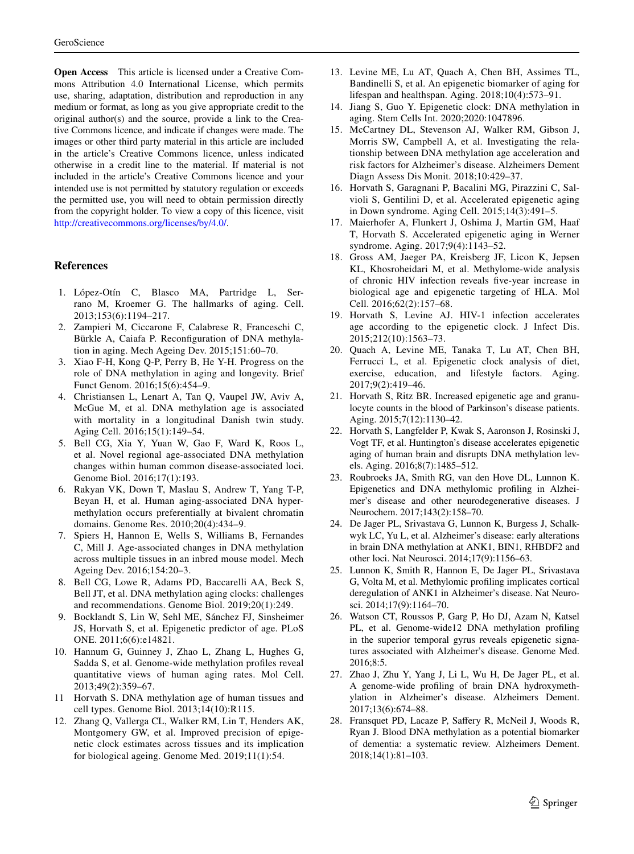**Open Access** This article is licensed under a Creative Commons Attribution 4.0 International License, which permits use, sharing, adaptation, distribution and reproduction in any medium or format, as long as you give appropriate credit to the original author(s) and the source, provide a link to the Creative Commons licence, and indicate if changes were made. The images or other third party material in this article are included in the article's Creative Commons licence, unless indicated otherwise in a credit line to the material. If material is not included in the article's Creative Commons licence and your intended use is not permitted by statutory regulation or exceeds the permitted use, you will need to obtain permission directly from the copyright holder. To view a copy of this licence, visit <http://creativecommons.org/licenses/by/4.0/>.

#### **References**

- <span id="page-16-0"></span>1. López-Otín C, Blasco MA, Partridge L, Serrano M, Kroemer G. The hallmarks of aging. Cell. 2013;153(6):1194–217.
- <span id="page-16-1"></span>2. Zampieri M, Ciccarone F, Calabrese R, Franceschi C, Bürkle A, Caiafa P. Reconfguration of DNA methylation in aging. Mech Ageing Dev. 2015;151:60–70.
- <span id="page-16-2"></span>3. Xiao F-H, Kong Q-P, Perry B, He Y-H. Progress on the role of DNA methylation in aging and longevity. Brief Funct Genom. 2016;15(6):454–9.
- <span id="page-16-3"></span>4. Christiansen L, Lenart A, Tan Q, Vaupel JW, Aviv A, McGue M, et al. DNA methylation age is associated with mortality in a longitudinal Danish twin study. Aging Cell. 2016;15(1):149–54.
- <span id="page-16-4"></span>5. Bell CG, Xia Y, Yuan W, Gao F, Ward K, Roos L, et al. Novel regional age-associated DNA methylation changes within human common disease-associated loci. Genome Biol. 2016;17(1):193.
- 6. Rakyan VK, Down T, Maslau S, Andrew T, Yang T-P, Beyan H, et al. Human aging-associated DNA hypermethylation occurs preferentially at bivalent chromatin domains. Genome Res. 2010;20(4):434–9.
- <span id="page-16-5"></span>7. Spiers H, Hannon E, Wells S, Williams B, Fernandes C, Mill J. Age-associated changes in DNA methylation across multiple tissues in an inbred mouse model. Mech Ageing Dev. 2016;154:20–3.
- <span id="page-16-6"></span>8. Bell CG, Lowe R, Adams PD, Baccarelli AA, Beck S, Bell JT, et al. DNA methylation aging clocks: challenges and recommendations. Genome Biol. 2019;20(1):249.
- <span id="page-16-7"></span>9. Bocklandt S, Lin W, Sehl ME, Sánchez FJ, Sinsheimer JS, Horvath S, et al. Epigenetic predictor of age. PLoS ONE. 2011;6(6):e14821.
- <span id="page-16-8"></span>10. Hannum G, Guinney J, Zhao L, Zhang L, Hughes G, Sadda S, et al. Genome-wide methylation profles reveal quantitative views of human aging rates. Mol Cell. 2013;49(2):359–67.
- <span id="page-16-9"></span>11 Horvath S. DNA methylation age of human tissues and cell types. Genome Biol. 2013;14(10):R115.
- <span id="page-16-10"></span>12. Zhang Q, Vallerga CL, Walker RM, Lin T, Henders AK, Montgomery GW, et al. Improved precision of epigenetic clock estimates across tissues and its implication for biological ageing. Genome Med. 2019;11(1):54.
- <span id="page-16-11"></span>13. Levine ME, Lu AT, Quach A, Chen BH, Assimes TL, Bandinelli S, et al. An epigenetic biomarker of aging for lifespan and healthspan. Aging. 2018;10(4):573–91.
- <span id="page-16-12"></span>14. Jiang S, Guo Y. Epigenetic clock: DNA methylation in aging. Stem Cells Int. 2020;2020:1047896.
- <span id="page-16-13"></span>15. McCartney DL, Stevenson AJ, Walker RM, Gibson J, Morris SW, Campbell A, et al. Investigating the relationship between DNA methylation age acceleration and risk factors for Alzheimer's disease. Alzheimers Dement Diagn Assess Dis Monit. 2018;10:429–37.
- <span id="page-16-14"></span>16. Horvath S, Garagnani P, Bacalini MG, Pirazzini C, Salvioli S, Gentilini D, et al. Accelerated epigenetic aging in Down syndrome. Aging Cell. 2015;14(3):491–5.
- <span id="page-16-15"></span>17. Maierhofer A, Flunkert J, Oshima J, Martin GM, Haaf T, Horvath S. Accelerated epigenetic aging in Werner syndrome. Aging. 2017;9(4):1143–52.
- <span id="page-16-16"></span>18. Gross AM, Jaeger PA, Kreisberg JF, Licon K, Jepsen KL, Khosroheidari M, et al. Methylome-wide analysis of chronic HIV infection reveals fve-year increase in biological age and epigenetic targeting of HLA. Mol Cell. 2016;62(2):157–68.
- <span id="page-16-17"></span>19. Horvath S, Levine AJ. HIV-1 infection accelerates age according to the epigenetic clock. J Infect Dis. 2015;212(10):1563–73.
- <span id="page-16-18"></span>20. Quach A, Levine ME, Tanaka T, Lu AT, Chen BH, Ferrucci L, et al. Epigenetic clock analysis of diet, exercise, education, and lifestyle factors. Aging. 2017;9(2):419–46.
- <span id="page-16-19"></span>21. Horvath S, Ritz BR. Increased epigenetic age and granulocyte counts in the blood of Parkinson's disease patients. Aging. 2015;7(12):1130–42.
- <span id="page-16-20"></span>22. Horvath S, Langfelder P, Kwak S, Aaronson J, Rosinski J, Vogt TF, et al. Huntington's disease accelerates epigenetic aging of human brain and disrupts DNA methylation levels. Aging. 2016;8(7):1485–512.
- <span id="page-16-21"></span>23. Roubroeks JA, Smith RG, van den Hove DL, Lunnon K. Epigenetics and DNA methylomic profling in Alzheimer's disease and other neurodegenerative diseases. J Neurochem. 2017;143(2):158–70.
- 24. De Jager PL, Srivastava G, Lunnon K, Burgess J, Schalkwyk LC, Yu L, et al. Alzheimer's disease: early alterations in brain DNA methylation at ANK1, BIN1, RHBDF2 and other loci. Nat Neurosci. 2014;17(9):1156–63.
- 25. Lunnon K, Smith R, Hannon E, De Jager PL, Srivastava G, Volta M, et al. Methylomic profling implicates cortical deregulation of ANK1 in Alzheimer's disease. Nat Neurosci. 2014;17(9):1164–70.
- 26. Watson CT, Roussos P, Garg P, Ho DJ, Azam N, Katsel PL, et al. Genome-wide12 DNA methylation profiling in the superior temporal gyrus reveals epigenetic signatures associated with Alzheimer's disease. Genome Med. 2016;8:5.
- <span id="page-16-22"></span>27. Zhao J, Zhu Y, Yang J, Li L, Wu H, De Jager PL, et al. A genome-wide profling of brain DNA hydroxymethylation in Alzheimer's disease. Alzheimers Dement. 2017;13(6):674–88.
- <span id="page-16-23"></span>28. Fransquet PD, Lacaze P, Safery R, McNeil J, Woods R, Ryan J. Blood DNA methylation as a potential biomarker of dementia: a systematic review. Alzheimers Dement. 2018;14(1):81–103.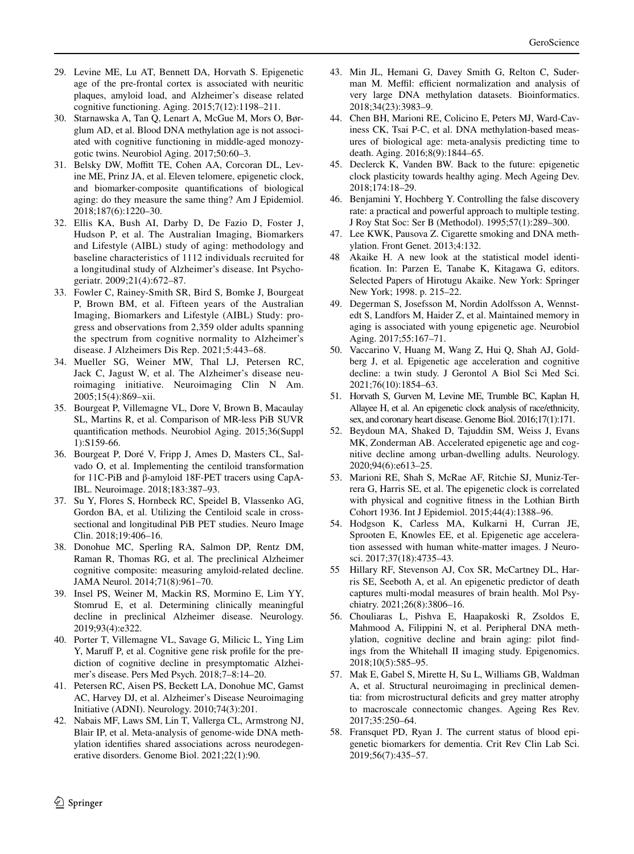- <span id="page-17-0"></span>29. Levine ME, Lu AT, Bennett DA, Horvath S. Epigenetic age of the pre-frontal cortex is associated with neuritic plaques, amyloid load, and Alzheimer's disease related cognitive functioning. Aging. 2015;7(12):1198–211.
- <span id="page-17-1"></span>30. Starnawska A, Tan Q, Lenart A, McGue M, Mors O, Børglum AD, et al. Blood DNA methylation age is not associated with cognitive functioning in middle-aged monozygotic twins. Neurobiol Aging. 2017;50:60–3.
- <span id="page-17-2"></span>31. Belsky DW, Moftt TE, Cohen AA, Corcoran DL, Levine ME, Prinz JA, et al. Eleven telomere, epigenetic clock, and biomarker-composite quantifcations of biological aging: do they measure the same thing? Am J Epidemiol. 2018;187(6):1220–30.
- <span id="page-17-3"></span>32. Ellis KA, Bush AI, Darby D, De Fazio D, Foster J, Hudson P, et al. The Australian Imaging, Biomarkers and Lifestyle (AIBL) study of aging: methodology and baseline characteristics of 1112 individuals recruited for a longitudinal study of Alzheimer's disease. Int Psychogeriatr. 2009;21(4):672–87.
- <span id="page-17-4"></span>33. Fowler C, Rainey-Smith SR, Bird S, Bomke J, Bourgeat P, Brown BM, et al. Fifteen years of the Australian Imaging, Biomarkers and Lifestyle (AIBL) Study: progress and observations from 2,359 older adults spanning the spectrum from cognitive normality to Alzheimer's disease. J Alzheimers Dis Rep. 2021;5:443–68.
- <span id="page-17-5"></span>34. Mueller SG, Weiner MW, Thal LJ, Petersen RC, Jack C, Jagust W, et al. The Alzheimer's disease neuroimaging initiative. Neuroimaging Clin N Am. 2005;15(4):869–xii.
- <span id="page-17-6"></span>35. Bourgeat P, Villemagne VL, Dore V, Brown B, Macaulay SL, Martins R, et al. Comparison of MR-less PiB SUVR quantifcation methods. Neurobiol Aging. 2015;36(Suppl 1):S159-66.
- <span id="page-17-7"></span>36. Bourgeat P, Doré V, Fripp J, Ames D, Masters CL, Salvado O, et al. Implementing the centiloid transformation for 11C-PiB and β-amyloid 18F-PET tracers using CapA-IBL. Neuroimage. 2018;183:387–93.
- <span id="page-17-8"></span>37. Su Y, Flores S, Hornbeck RC, Speidel B, Vlassenko AG, Gordon BA, et al. Utilizing the Centiloid scale in crosssectional and longitudinal PiB PET studies. Neuro Image Clin. 2018;19:406–16.
- <span id="page-17-9"></span>38. Donohue MC, Sperling RA, Salmon DP, Rentz DM, Raman R, Thomas RG, et al. The preclinical Alzheimer cognitive composite: measuring amyloid-related decline. JAMA Neurol. 2014;71(8):961–70.
- <span id="page-17-10"></span>39. Insel PS, Weiner M, Mackin RS, Mormino E, Lim YY, Stomrud E, et al. Determining clinically meaningful decline in preclinical Alzheimer disease. Neurology. 2019;93(4):e322.
- <span id="page-17-11"></span>40. Porter T, Villemagne VL, Savage G, Milicic L, Ying Lim Y, Maruf P, et al. Cognitive gene risk profle for the prediction of cognitive decline in presymptomatic Alzheimer's disease. Pers Med Psych. 2018;7–8:14–20.
- <span id="page-17-12"></span>41. Petersen RC, Aisen PS, Beckett LA, Donohue MC, Gamst AC, Harvey DJ, et al. Alzheimer's Disease Neuroimaging Initiative (ADNI). Neurology. 2010;74(3):201.
- <span id="page-17-13"></span>42. Nabais MF, Laws SM, Lin T, Vallerga CL, Armstrong NJ, Blair IP, et al. Meta-analysis of genome-wide DNA methylation identifes shared associations across neurodegenerative disorders. Genome Biol. 2021;22(1):90.
- <span id="page-17-14"></span>43. Min JL, Hemani G, Davey Smith G, Relton C, Suderman M. Meffil: efficient normalization and analysis of very large DNA methylation datasets. Bioinformatics. 2018;34(23):3983–9.
- <span id="page-17-15"></span>44. Chen BH, Marioni RE, Colicino E, Peters MJ, Ward-Caviness CK, Tsai P-C, et al. DNA methylation-based measures of biological age: meta-analysis predicting time to death. Aging. 2016;8(9):1844–65.
- <span id="page-17-16"></span>45. Declerck K, Vanden BW. Back to the future: epigenetic clock plasticity towards healthy aging. Mech Ageing Dev. 2018;174:18–29.
- <span id="page-17-17"></span>46. Benjamini Y, Hochberg Y. Controlling the false discovery rate: a practical and powerful approach to multiple testing. J Roy Stat Soc: Ser B (Methodol). 1995;57(1):289–300.
- <span id="page-17-18"></span>47. Lee KWK, Pausova Z. Cigarette smoking and DNA methylation. Front Genet. 2013;4:132.
- <span id="page-17-19"></span>48 Akaike H. A new look at the statistical model identifcation. In: Parzen E, Tanabe K, Kitagawa G, editors. Selected Papers of Hirotugu Akaike. New York: Springer New York; 1998. p. 215–22.
- <span id="page-17-20"></span>49. Degerman S, Josefsson M, Nordin Adolfsson A, Wennstedt S, Landfors M, Haider Z, et al. Maintained memory in aging is associated with young epigenetic age. Neurobiol Aging. 2017;55:167–71.
- <span id="page-17-21"></span>50. Vaccarino V, Huang M, Wang Z, Hui Q, Shah AJ, Goldberg J, et al. Epigenetic age acceleration and cognitive decline: a twin study. J Gerontol A Biol Sci Med Sci. 2021;76(10):1854–63.
- <span id="page-17-22"></span>51. Horvath S, Gurven M, Levine ME, Trumble BC, Kaplan H, Allayee H, et al. An epigenetic clock analysis of race/ethnicity, sex, and coronary heart disease. Genome Biol. 2016;17(1):171.
- <span id="page-17-23"></span>52. Beydoun MA, Shaked D, Tajuddin SM, Weiss J, Evans MK, Zonderman AB. Accelerated epigenetic age and cognitive decline among urban-dwelling adults. Neurology. 2020;94(6):e613–25.
- <span id="page-17-24"></span>53. Marioni RE, Shah S, McRae AF, Ritchie SJ, Muniz-Terrera G, Harris SE, et al. The epigenetic clock is correlated with physical and cognitive ftness in the Lothian Birth Cohort 1936. Int J Epidemiol. 2015;44(4):1388–96.
- <span id="page-17-25"></span>54. Hodgson K, Carless MA, Kulkarni H, Curran JE, Sprooten E, Knowles EE, et al. Epigenetic age acceleration assessed with human white-matter images. J Neurosci. 2017;37(18):4735–43.
- <span id="page-17-26"></span>55 Hillary RF, Stevenson AJ, Cox SR, McCartney DL, Harris SE, Seeboth A, et al. An epigenetic predictor of death captures multi-modal measures of brain health. Mol Psychiatry. 2021;26(8):3806–16.
- <span id="page-17-27"></span>56. Chouliaras L, Pishva E, Haapakoski R, Zsoldos E, Mahmood A, Filippini N, et al. Peripheral DNA methylation, cognitive decline and brain aging: pilot fndings from the Whitehall II imaging study. Epigenomics. 2018;10(5):585–95.
- <span id="page-17-28"></span>57. Mak E, Gabel S, Mirette H, Su L, Williams GB, Waldman A, et al. Structural neuroimaging in preclinical dementia: from microstructural deficits and grey matter atrophy to macroscale connectomic changes. Ageing Res Rev. 2017;35:250–64.
- <span id="page-17-29"></span>58. Fransquet PD, Ryan J. The current status of blood epigenetic biomarkers for dementia. Crit Rev Clin Lab Sci. 2019;56(7):435–57.